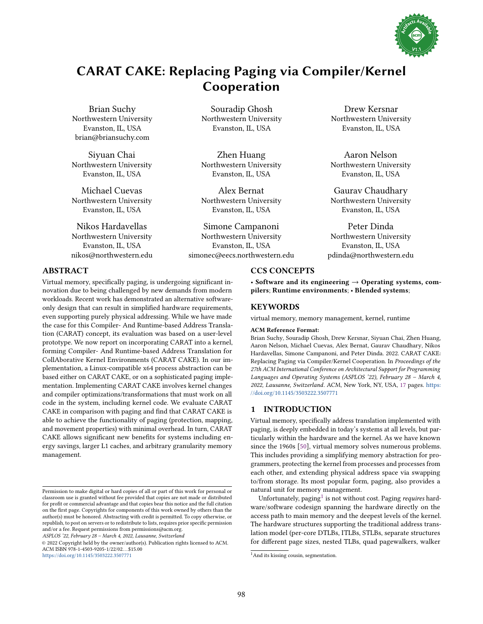

# CARAT CAKE: Replacing Paging via Compiler/Kernel Cooperation

Brian Suchy Northwestern University Evanston, IL, USA brian@briansuchy.com

Siyuan Chai Northwestern University Evanston, IL, USA

Michael Cuevas Northwestern University Evanston, IL, USA

Nikos Hardavellas Northwestern University Evanston, IL, USA nikos@northwestern.edu

Souradip Ghosh Northwestern University Evanston, IL, USA

Zhen Huang Northwestern University Evanston, IL, USA

Alex Bernat Northwestern University Evanston, IL, USA

Simone Campanoni Northwestern University Evanston, IL, USA simonec@eecs.northwestern.edu

Drew Kersnar Northwestern University Evanston, IL, USA

Aaron Nelson Northwestern University Evanston, IL, USA

Gaurav Chaudhary Northwestern University Evanston, IL, USA

Peter Dinda Northwestern University Evanston, IL, USA pdinda@northwestern.edu

## ABSTRACT

Virtual memory, specifically paging, is undergoing significant innovation due to being challenged by new demands from modern workloads. Recent work has demonstrated an alternative softwareonly design that can result in simplified hardware requirements, even supporting purely physical addressing. While we have made the case for this Compiler- And Runtime-based Address Translation (CARAT) concept, its evaluation was based on a user-level prototype. We now report on incorporating CARAT into a kernel, forming Compiler- And Runtime-based Address Translation for CollAborative Kernel Environments (CARAT CAKE). In our implementation, a Linux-compatible x64 process abstraction can be based either on CARAT CAKE, or on a sophisticated paging implementation. Implementing CARAT CAKE involves kernel changes and compiler optimizations/transformations that must work on all code in the system, including kernel code. We evaluate CARAT CAKE in comparison with paging and find that CARAT CAKE is able to achieve the functionality of paging (protection, mapping, and movement properties) with minimal overhead. In turn, CARAT CAKE allows significant new benefits for systems including energy savings, larger L1 caches, and arbitrary granularity memory management.

ASPLOS '22, February 28 - March 4, 2022, Lausanne, Switzerland

© 2022 Copyright held by the owner/author(s). Publication rights licensed to ACM. ACM ISBN 978-1-4503-9205-1/22/02. . . \$15.00 <https://doi.org/10.1145/3503222.3507771>

## CCS CONCEPTS

• Software and its engineering  $\rightarrow$  Operating systems, compilers; Runtime environments; · Blended systems;

## **KEYWORDS**

virtual memory, memory management, kernel, runtime

#### ACM Reference Format:

Brian Suchy, Souradip Ghosh, Drew Kersnar, Siyuan Chai, Zhen Huang, Aaron Nelson, Michael Cuevas, Alex Bernat, Gaurav Chaudhary, Nikos Hardavellas, Simone Campanoni, and Peter Dinda. 2022. CARAT CAKE: Replacing Paging via Compiler/Kernel Cooperation. In Proceedings of the 27th ACM International Conference on Architectural Support for Programming Languages and Operating Systems (ASPLOS '22), February 28 - March 4, 2022, Lausanne, Switzerland. ACM, New York, NY, USA, [17](#page-16-0) pages. [https:](https://doi.org/10.1145/3503222.3507771) [//doi.org/10.1145/3503222.3507771](https://doi.org/10.1145/3503222.3507771)

## 1 INTRODUCTION

Virtual memory, specifically address translation implemented with paging, is deeply embedded in today's systems at all levels, but particularly within the hardware and the kernel. As we have known since the 1960s [\[50\]](#page-15-0), virtual memory solves numerous problems. This includes providing a simplifying memory abstraction for programmers, protecting the kernel from processes and processes from each other, and extending physical address space via swapping to/from storage. Its most popular form, paging, also provides a natural unit for memory management.

Unfortunately, paging $^1$  $^1$  is not without cost. Paging *requires* hardware/software codesign spanning the hardware directly on the access path to main memory and the deepest levels of the kernel. The hardware structures supporting the traditional address translation model (per-core DTLBs, ITLBs, STLBs, separate structures for different page sizes, nested TLBs, quad pagewalkers, walker

Permission to make digital or hard copies of all or part of this work for personal or classroom use is granted without fee provided that copies are not made or distributed for profit or commercial advantage and that copies bear this notice and the full citation on the first page. Copyrights for components of this work owned by others than the author(s) must be honored. Abstracting with credit is permitted. To copy otherwise, or republish, to post on servers or to redistribute to lists, requires prior specific permission and/or a fee. Request permissions from permissions@acm.org.

<span id="page-0-0"></span><sup>&</sup>lt;sup>1</sup>And its kissing cousin, segmentation.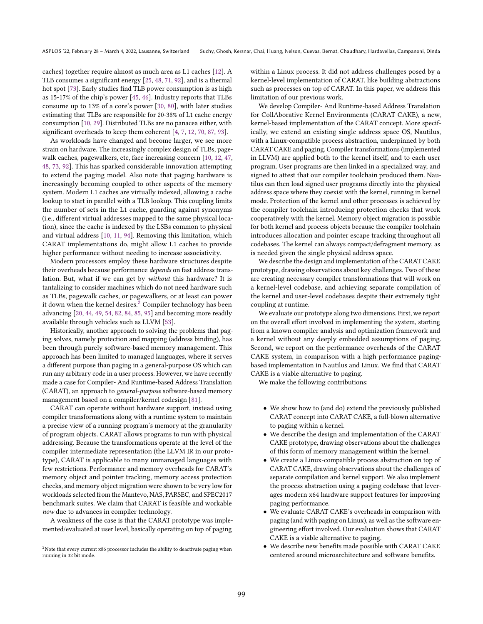caches) together require almost as much area as L1 caches [\[12\]](#page-14-0). A TLB consumes a significant energy [\[25,](#page-14-1) [48,](#page-15-1) [71,](#page-15-2) [92\]](#page-16-1), and is a thermal hot spot [\[73\]](#page-15-3). Early studies find TLB power consumption is as high as 15-17% of the chip's power [\[45,](#page-15-4) [46\]](#page-15-5). Industry reports that TLBs consume up to 13% of a core's power [\[30,](#page-14-2) [80\]](#page-16-2), with later studies estimating that TLBs are responsible for 20-38% of L1 cache energy consumption [\[10,](#page-14-3) [29\]](#page-14-4). Distributed TLBs are no panacea either, with significant overheads to keep them coherent [\[4,](#page-14-5) [7,](#page-14-6) [12,](#page-14-0) [70,](#page-15-6) [87,](#page-16-3) [93\]](#page-16-4).

As workloads have changed and become larger, we see more strain on hardware. The increasingly complex design of TLBs, pagewalk caches, pagewalkers, etc, face increasing concern [\[10,](#page-14-3) [12,](#page-14-0) [47,](#page-15-7) [48,](#page-15-1) [73,](#page-15-3) [92\]](#page-16-1). This has sparked considerable innovation attempting to extend the paging model. Also note that paging hardware is increasingly becoming coupled to other aspects of the memory system. Modern L1 caches are virtually indexed, allowing a cache lookup to start in parallel with a TLB lookup. This coupling limits the number of sets in the L1 cache, guarding against synonyms (i.e., different virtual addresses mapped to the same physical location), since the cache is indexed by the LSBs common to physical and virtual address [\[10,](#page-14-3) [11,](#page-14-7) [94\]](#page-16-5). Removing this limitation, which CARAT implementations do, might allow L1 caches to provide higher performance without needing to increase associativity.

Modern processors employ these hardware structures despite their overheads because performance depends on fast address translation. But, what if we can get by without this hardware? It is tantalizing to consider machines which do not need hardware such as TLBs, pagewalk caches, or pagewalkers, or at least can power it down when the kernel desires.<sup>[2](#page-1-0)</sup> Compiler technology has been advancing [\[20,](#page-14-8) [44,](#page-15-8) [49,](#page-15-9) [54,](#page-15-10) [82,](#page-16-6) [84,](#page-16-7) [85,](#page-16-8) [95\]](#page-16-9) and becoming more readily available through vehicles such as LLVM [\[53\]](#page-15-11).

Historically, another approach to solving the problems that paging solves, namely protection and mapping (address binding), has been through purely software-based memory management. This approach has been limited to managed languages, where it serves a different purpose than paging in a general-purpose OS which can run any arbitrary code in a user process. However, we have recently made a case for Compiler- And Runtime-based Address Translation (CARAT), an approach to general-purpose software-based memory management based on a compiler/kernel codesign [\[81\]](#page-16-10).

CARAT can operate without hardware support, instead using compiler transformations along with a runtime system to maintain a precise view of a running program's memory at the granularity of program objects. CARAT allows programs to run with physical addressing. Because the transformations operate at the level of the compiler intermediate representation (the LLVM IR in our prototype), CARAT is applicable to many unmanaged languages with few restrictions. Performance and memory overheads for CARAT's memory object and pointer tracking, memory access protection checks, and memory object migration were shown to be very low for workloads selected from the Mantevo, NAS, PARSEC, and SPEC2017 benchmark suites. We claim that CARAT is feasible and workable now due to advances in compiler technology.

A weakness of the case is that the CARAT prototype was implemented/evaluated at user level, basically operating on top of paging

within a Linux process. It did not address challenges posed by a kernel-level implementation of CARAT, like building abstractions such as processes on top of CARAT. In this paper, we address this limitation of our previous work.

We develop Compiler- And Runtime-based Address Translation for CollAborative Kernel Environments (CARAT CAKE), a new, kernel-based implementation of the CARAT concept. More specifically, we extend an existing single address space OS, Nautilus, with a Linux-compatible process abstraction, underpinned by both CARAT CAKE and paging. Compiler transformations (implemented in LLVM) are applied both to the kernel itself, and to each user program. User programs are then linked in a specialized way, and signed to attest that our compiler toolchain produced them. Nautilus can then load signed user programs directly into the physical address space where they coexist with the kernel, running in kernel mode. Protection of the kernel and other processes is achieved by the compiler toolchain introducing protection checks that work cooperatively with the kernel. Memory object migration is possible for both kernel and process objects because the compiler toolchain introduces allocation and pointer escape tracking throughout all codebases. The kernel can always compact/defragment memory, as is needed given the single physical address space.

We describe the design and implementation of the CARAT CAKE prototype, drawing observations about key challenges. Two of these are creating necessary compiler transformations that will work on a kernel-level codebase, and achieving separate compilation of the kernel and user-level codebases despite their extremely tight coupling at runtime.

We evaluate our prototype along two dimensions. First, we report on the overall effort involved in implementing the system, starting from a known compiler analysis and optimization framework and a kernel without any deeply embedded assumptions of paging. Second, we report on the performance overheads of the CARAT CAKE system, in comparison with a high performance pagingbased implementation in Nautilus and Linux. We find that CARAT CAKE is a viable alternative to paging.

We make the following contributions:

- We show how to (and do) extend the previously published CARAT concept into CARAT CAKE, a full-blown alternative to paging within a kernel.
- We describe the design and implementation of the CARAT CAKE prototype, drawing observations about the challenges of this form of memory management within the kernel.
- We create a Linux-compatible process abstraction on top of CARAT CAKE, drawing observations about the challenges of separate compilation and kernel support. We also implement the process abstraction using a paging codebase that leverages modern x64 hardware support features for improving paging performance.
- We evaluate CARAT CAKE's overheads in comparison with paging (and with paging on Linux), as well as the software engineering effort involved. Our evaluation shows that CARAT CAKE is a viable alternative to paging.
- We describe new benefits made possible with CARAT CAKE centered around microarchitecture and software benefits.

<span id="page-1-0"></span><sup>&</sup>lt;sup>2</sup>Note that every current x86 processor includes the ability to deactivate paging when running in 32 bit mode.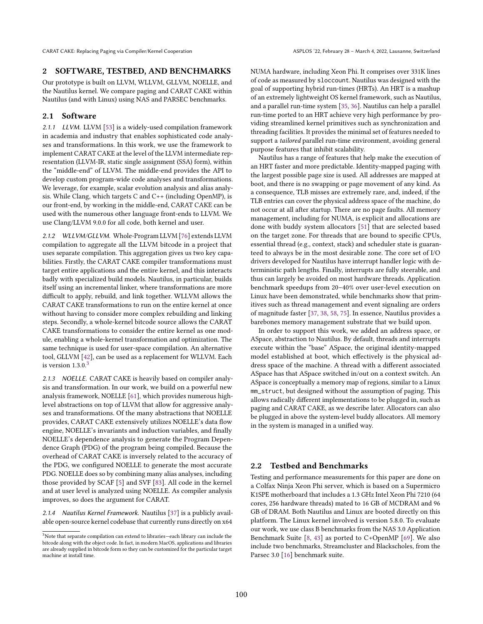## <span id="page-2-1"></span>2 SOFTWARE, TESTBED, AND BENCHMARKS

Our prototype is built on LLVM, WLLVM, GLLVM, NOELLE, and the Nautilus kernel. We compare paging and CARAT CAKE within Nautilus (and with Linux) using NAS and PARSEC benchmarks.

#### 2.1 Software

2.1.1 LLVM. LLVM [\[53\]](#page-15-11) is a widely-used compilation framework in academia and industry that enables sophisticated code analyses and transformations. In this work, we use the framework to implement CARAT CAKE at the level of the LLVM intermediate representation (LLVM-IR, static single assignment (SSA) form), within the "middle-end" of LLVM. The middle-end provides the API to develop custom program-wide code analyses and transformations. We leverage, for example, scalar evolution analysis and alias analysis. While Clang, which targets C and C++ (including OpenMP), is our front-end, by working in the middle-end, CARAT CAKE can be used with the numerous other language front-ends to LLVM. We use Clang/LLVM 9.0.0 for all code, both kernel and user.

2.1.2 WLLVM/GLLVM. Whole-Program LLVM [\[76\]](#page-15-12) extends LLVM compilation to aggregate all the LLVM bitcode in a project that uses separate compilation. This aggregation gives us two key capabilities. Firstly, the CARAT CAKE compiler transformations must target entire applications and the entire kernel, and this interacts badly with specialized build models. Nautilus, in particular, builds itself using an incremental linker, where transformations are more difficult to apply, rebuild, and link together. WLLVM allows the CARAT CAKE transformations to run on the entire kernel at once without having to consider more complex rebuilding and linking steps. Secondly, a whole-kernel bitcode source allows the CARAT CAKE transformations to consider the entire kernel as one module, enabling a whole-kernel transformation and optimization. The same technique is used for user-space compilation. An alternative tool, GLLVM [\[42\]](#page-15-13), can be used as a replacement for WLLVM. Each is version  $1.3.0<sup>3</sup>$  $1.3.0<sup>3</sup>$  $1.3.0<sup>3</sup>$ 

2.1.3 NOELLE. CARAT CAKE is heavily based on compiler analysis and transformation. In our work, we build on a powerful new analysis framework, NOELLE [\[61\]](#page-15-14), which provides numerous highlevel abstractions on top of LLVM that allow for aggressive analyses and transformations. Of the many abstractions that NOELLE provides, CARAT CAKE extensively utilizes NOELLE's data flow engine, NOELLE's invariants and induction variables, and finally NOELLE's dependence analysis to generate the Program Dependence Graph (PDG) of the program being compiled. Because the overhead of CARAT CAKE is inversely related to the accuracy of the PDG, we configured NOELLE to generate the most accurate PDG. NOELLE does so by combining many alias analyses, including those provided by SCAF [\[5\]](#page-14-9) and SVF [\[83\]](#page-16-11). All code in the kernel and at user level is analyzed using NOELLE. As compiler analysis improves, so does the argument for CARAT.

2.1.4 Nautilus Kernel Framework. Nautilus [\[37\]](#page-15-15) is a publicly available open-source kernel codebase that currently runs directly on x64

NUMA hardware, including Xeon Phi. It comprises over 331K lines of code as measured by sloccount. Nautilus was designed with the goal of supporting hybrid run-times (HRTs). An HRT is a mashup of an extremely lightweight OS kernel framework, such as Nautilus, and a parallel run-time system [\[35,](#page-15-16) [36\]](#page-15-17). Nautilus can help a parallel run-time ported to an HRT achieve very high performance by providing streamlined kernel primitives such as synchronization and threading facilities. It provides the minimal set of features needed to support a tailored parallel run-time environment, avoiding general purpose features that inhibit scalability.

Nautilus has a range of features that help make the execution of an HRT faster and more predictable. Identity-mapped paging with the largest possible page size is used. All addresses are mapped at boot, and there is no swapping or page movement of any kind. As a consequence, TLB misses are extremely rare, and, indeed, if the TLB entries can cover the physical address space of the machine, do not occur at all after startup. There are no page faults. All memory management, including for NUMA, is explicit and allocations are done with buddy system allocators [\[51\]](#page-15-18) that are selected based on the target zone. For threads that are bound to specific CPUs, essential thread (e.g., context, stack) and scheduler state is guaranteed to always be in the most desirable zone. The core set of I/O drivers developed for Nautilus have interrupt handler logic with deterministic path lengths. Finally, interrupts are fully steerable, and thus can largely be avoided on most hardware threads. Application benchmark speedups from 20-40% over user-level execution on Linux have been demonstrated, while benchmarks show that primitives such as thread management and event signaling are orders of magnitude faster [\[37,](#page-15-15) [38,](#page-15-19) [58,](#page-15-20) [75\]](#page-15-21). In essence, Nautilus provides a barebones memory management substrate that we build upon.

In order to support this work, we added an address space, or ASpace, abstraction to Nautilus. By default, threads and interrupts execute within the "base" ASpace, the original identity-mapped model established at boot, which effectively is the physical address space of the machine. A thread with a different associated ASpace has that ASpace switched in/out on a context switch. An ASpace is conceptually a memory map of regions, similar to a Linux mm\_struct, but designed without the assumption of paging. This allows radically different implementations to be plugged in, such as paging and CARAT CAKE, as we describe later. Allocators can also be plugged in above the system-level buddy allocators. All memory in the system is managed in a unified way.

#### <span id="page-2-2"></span>2.2 Testbed and Benchmarks

Testing and performance measurements for this paper are done on a Colfax Ninja Xeon Phi server, which is based on a Supermicro K1SPE motherboard that includes a 1.3 GHz Intel Xeon Phi 7210 (64 cores, 256 hardware threads) mated to 16 GB of MCDRAM and 96 GB of DRAM. Both Nautilus and Linux are booted directly on this platform. The Linux kernel involved is version 5.8.0. To evaluate our work, we use class B benchmarks from the NAS 3.0 Application Benchmark Suite [\[8,](#page-14-10) [43\]](#page-15-22) as ported to C+OpenMP [\[69\]](#page-15-23). We also include two benchmarks, Streamcluster and Blackscholes, from the Parsec 3.0 [\[16\]](#page-14-11) benchmark suite.

<span id="page-2-0"></span> $3$ Note that separate compilation can extend to libraries-each library can include the bitcode along with the object code. In fact, in modern MacOS, applications and libraries are already supplied in bitcode form so they can be customized for the particular target machine at install time.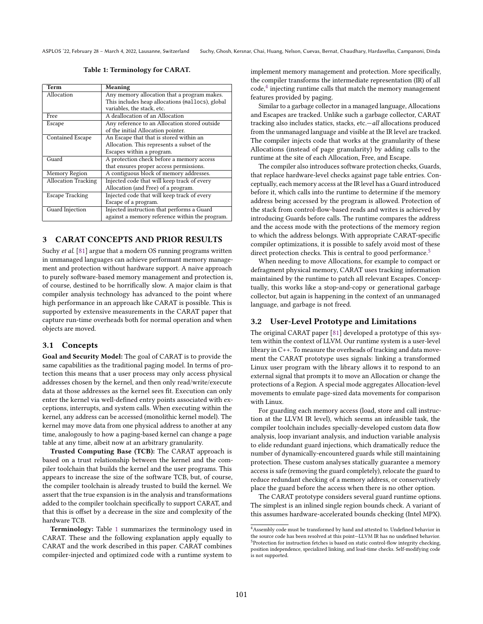Table 1: Terminology for CARAT.

<span id="page-3-0"></span>

| Term                       | Meaning                                          |  |  |
|----------------------------|--------------------------------------------------|--|--|
| Allocation                 | Any memory allocation that a program makes.      |  |  |
|                            | This includes heap allocations (mallocs), global |  |  |
|                            | variables, the stack, etc.                       |  |  |
| Free                       | A deallocation of an Allocation                  |  |  |
| Escape                     | Any reference to an Allocation stored outside    |  |  |
|                            | of the initial Allocation pointer.               |  |  |
| Contained Escape           | An Escape that that is stored within an          |  |  |
|                            | Allocation. This represents a subset of the      |  |  |
|                            | Escapes within a program.                        |  |  |
| Guard                      | A protection check before a memory access        |  |  |
|                            | that ensures proper access permissions.          |  |  |
| Memory Region              | A contiguous block of memory addresses.          |  |  |
| <b>Allocation Tracking</b> | Injected code that will keep track of every      |  |  |
|                            | Allocation (and Free) of a program.              |  |  |
| <b>Escape Tracking</b>     | Injected code that will keep track of every      |  |  |
|                            | Escape of a program.                             |  |  |
| Guard Injection            | Injected instruction that performs a Guard       |  |  |
|                            | against a memory reference within the program.   |  |  |

## <span id="page-3-3"></span>3 CARAT CONCEPTS AND PRIOR RESULTS

Suchy et al. [\[81\]](#page-16-10) argue that a modern OS running programs written in unmanaged languages can achieve performant memory management and protection without hardware support. A naive approach to purely software-based memory management and protection is, of course, destined to be horrifically slow. A major claim is that compiler analysis technology has advanced to the point where high performance in an approach like CARAT is possible. This is supported by extensive measurements in the CARAT paper that capture run-time overheads both for normal operation and when objects are moved.

#### 3.1 Concepts

Goal and Security Model: The goal of CARAT is to provide the same capabilities as the traditional paging model. In terms of protection this means that a user process may only access physical addresses chosen by the kernel, and then only read/write/execute data at those addresses as the kernel sees fit. Execution can only enter the kernel via well-defined entry points associated with exceptions, interrupts, and system calls. When executing within the kernel, any address can be accessed (monolithic kernel model). The kernel may move data from one physical address to another at any time, analogously to how a paging-based kernel can change a page table at any time, albeit now at an arbitrary granularity.

Trusted Computing Base (TCB): The CARAT approach is based on a trust relationship between the kernel and the compiler toolchain that builds the kernel and the user programs. This appears to increase the size of the software TCB, but, of course, the compiler toolchain is already trusted to build the kernel. We assert that the true expansion is in the analysis and transformations added to the compiler toolchain specifically to support CARAT, and that this is offset by a decrease in the size and complexity of the hardware TCB.

Terminology: Table [1](#page-3-0) summarizes the terminology used in CARAT. These and the following explanation apply equally to CARAT and the work described in this paper. CARAT combines compiler-injected and optimized code with a runtime system to implement memory management and protection. More specifically, the compiler transforms the intermediate representation (IR) of all code,<sup>[4](#page-3-1)</sup> injecting runtime calls that match the memory management features provided by paging.

Similar to a garbage collector in a managed language, Allocations and Escapes are tracked. Unlike such a garbage collector, CARAT tracking also includes statics, stacks, etc. $all$  allocations produced from the unmanaged language and visible at the IR level are tracked. The compiler injects code that works at the granularity of these Allocations (instead of page granularity) by adding calls to the runtime at the site of each Allocation, Free, and Escape.

The compiler also introduces software protection checks, Guards, that replace hardware-level checks against page table entries. Conceptually, each memory access at the IR level has a Guard introduced before it, which calls into the runtime to determine if the memory address being accessed by the program is allowed. Protection of the stack from control-flow-based reads and writes is achieved by introducing Guards before calls. The runtime compares the address and the access mode with the protections of the memory region to which the address belongs. With appropriate CARAT-specific compiler optimizations, it is possible to safely avoid most of these direct protection checks. This is central to good performance.<sup>[5](#page-3-2)</sup>

When needing to move Allocations, for example to compact or defragment physical memory, CARAT uses tracking information maintained by the runtime to patch all relevant Escapes. Conceptually, this works like a stop-and-copy or generational garbage collector, but again is happening in the context of an unmanaged language, and garbage is not freed.

#### 3.2 User-Level Prototype and Limitations

The original CARAT paper [\[81\]](#page-16-10) developed a prototype of this system within the context of LLVM. Our runtime system is a user-level library in C++. To measure the overheads of tracking and data movement the CARAT prototype uses signals: linking a transformed Linux user program with the library allows it to respond to an external signal that prompts it to move an Allocation or change the protections of a Region. A special mode aggregates Allocation-level movements to emulate page-sized data movements for comparison with Linux.

For guarding each memory access (load, store and call instruction at the LLVM IR level), which seems an infeasible task, the compiler toolchain includes specially-developed custom data flow analysis, loop invariant analysis, and induction variable analysis to elide redundant guard injections, which dramatically reduce the number of dynamically-encountered guards while still maintaining protection. These custom analyses statically guarantee a memory access is safe (removing the guard completely), relocate the guard to reduce redundant checking of a memory address, or conservatively place the guard before the access when there is no other option.

The CARAT prototype considers several guard runtime options. The simplest is an inlined single region bounds check. A variant of this assumes hardware-accelerated bounds checking (Intel MPX).

<span id="page-3-2"></span><span id="page-3-1"></span><sup>&</sup>lt;sup>4</sup> Assembly code must be transformed by hand and attested to. Undefined behavior in the source code has been resolved at this point-LLVM IR has no undefined behavior. <sup>5</sup>Protection for instruction fetches is based on static control-flow integrity checking, position independence, specialized linking, and load-time checks. Self-modifying code is not supported.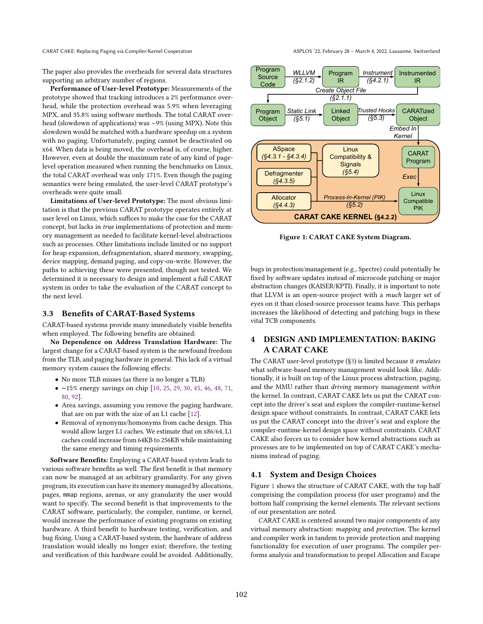CARAT CAKE: Replacing Paging via Compiler/Kernel Cooperation ASPLOS '22, February 28 – March 4, 2022, Lausanne, Switzerland

The paper also provides the overheads for several data structures supporting an arbitrary number of regions.

Performance of User-level Prototype: Measurements of the prototype showed that tracking introduces a 2% performance overhead, while the protection overhead was 5.9% when leveraging MPX, and 35.8% using software methods. The total CARAT overhead (slowdown of applications) was ∼9% (using MPX). Note this slowdown would be matched with a hardware speedup on a system with no paging. Unfortunately, paging cannot be deactivated on x64. When data is being moved, the overhead is, of course, higher. However, even at double the maximum rate of any kind of pagelevel operation measured when running the benchmarks on Linux, the total CARAT overhead was only 171%. Even though the paging semantics were being emulated, the user-level CARAT prototype's overheads were quite small.

Limitations of User-level Prototype: The most obvious limitation is that the previous CARAT prototype operates entirely at user level on Linux, which suffices to make the case for the CARAT concept, but lacks in true implementations of protection and memory management as needed to facilitate kernel-level abstractions such as processes. Other limitations include limited or no support for heap expansion, defragmentation, shared memory, swapping, device mapping, demand paging, and copy-on-write. However, the paths to achieving these were presented, though not tested. We determined it is necessary to design and implement a full CARAT system in order to take the evaluation of the CARAT concept to the next level.

#### 3.3 Benefits of CARAT-Based Systems

CARAT-based systems provide many immediately visible benefits when employed. The following benefits are obtained:

No Dependence on Address Translation Hardware: The largest change for a CARAT-based system is the newfound freedom from the TLB, and paging hardware in general. This lack of a virtual memory system causes the following effects:

- No more TLB misses (as there is no longer a TLB)
- ∼15% energy savings on chip [\[10,](#page-14-3) [25,](#page-14-1) [29,](#page-14-4) [30,](#page-14-2) [45,](#page-15-4) [46,](#page-15-5) [48,](#page-15-1) [71,](#page-15-2) [80,](#page-16-2) [92\]](#page-16-1).
- Area savings, assuming you remove the paging hardware, that are on par with the size of an L1 cache [\[12\]](#page-14-0).
- Removal of synonyms/homonyms from cache design. This would allow larger L1 caches. We estimate that on x86/64, L1 caches could increase from 64KB to 256KB while maintaining the same energy and timing requirements.

Software Benefits: Employing a CARAT-based system leads to various software benefits as well. The first benefit is that memory can now be managed at an arbitrary granularity. For any given program, its execution can have its memory managed by allocations, pages, mmap regions, arenas, or any granularity the user would want to specify. The second benefit is that improvements to the CARAT software, particularly, the compiler, runtime, or kernel, would increase the performance of existing programs on existing hardware. A third benefit to hardware testing, verification, and bug fixing. Using a CARAT-based system, the hardware of address translation would ideally no longer exist; therefore, the testing and verification of this hardware could be avoided. Additionally,

<span id="page-4-0"></span>

Figure 1: CARAT CAKE System Diagram.

bugs in protection/management (e.g., Spectre) could potentially be fixed by software updates instead of microcode patching or major abstraction changes (KAISER/KPTI). Finally, it is important to note that LLVM is an open-source project with a *much* larger set of eyes on it than closed-source processor teams have. This perhaps increases the likelihood of detecting and patching bugs in these vital TCB components.

## <span id="page-4-1"></span>4 DESIGN AND IMPLEMENTATION: BAKING A CARAT CAKE

The CARAT user-level prototype ([ğ3\)](#page-3-3) is limited because it emulates what software-based memory management would look like. Additionally, it is built on top of the Linux process abstraction, paging, and the MMU rather than driving memory management within the kernel. In contrast, CARAT CAKE lets us put the CARAT concept into the driver's seat and explore the compiler-runtime-kernel design space without constraints. In contrast, CARAT CAKE lets us put the CARAT concept into the driver's seat and explore the compiler-runtime-kernel design space without constraints. CARAT CAKE also forces us to consider how kernel abstractions such as processes are to be implemented on top of CARAT CAKE's mechanisms instead of paging.

## 4.1 System and Design Choices

Figure [1](#page-4-0) shows the structure of CARAT CAKE, with the top half comprising the compilation process (for user programs) and the bottom half comprising the kernel elements. The relevant sections of our presentation are noted.

CARAT CAKE is centered around two major components of any virtual memory abstraction: mapping and protection. The kernel and compiler work in tandem to provide protection and mapping functionality for execution of user programs. The compiler performs analysis and transformation to propel Allocation and Escape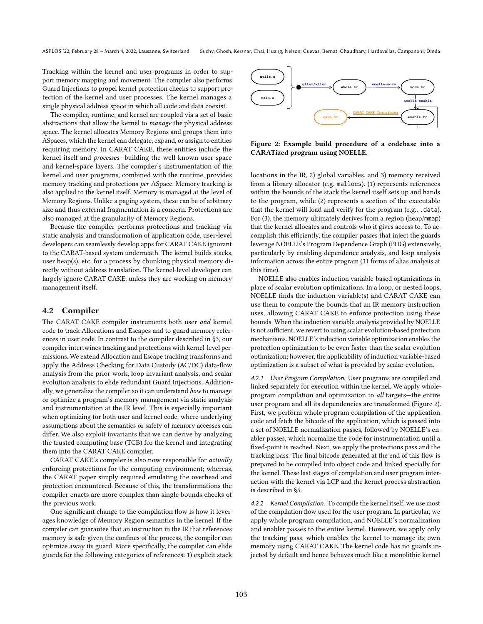Tracking within the kernel and user programs in order to support memory mapping and movement. The compiler also performs Guard Injections to propel kernel protection checks to support protection of the kernel and user processes. The kernel manages a single physical address space in which all code and data coexist.

The compiler, runtime, and kernel are coupled via a set of basic abstractions that allow the kernel to manage the physical address space. The kernel allocates Memory Regions and groups them into ASpaces, which the kernel can delegate, expand, or assign to entities requiring memory. In CARAT CAKE, these entities include the kernel itself and *processes*-building the well-known user-space and kernel-space layers. The compiler's instrumentation of the kernel and user programs, combined with the runtime, provides memory tracking and protections per ASpace. Memory tracking is also applied to the kernel itself. Memory is managed at the level of Memory Regions. Unlike a paging system, these can be of arbitrary size and thus external fragmentation is a concern. Protections are also managed at the granularity of Memory Regions.

Because the compiler performs protections and tracking via static analysis and transformation of application code, user-level developers can seamlessly develop apps for CARAT CAKE ignorant to the CARAT-based system underneath. The kernel builds stacks, user heap(s), etc, for a process by chunking physical memory directly without address translation. The kernel-level developer can largely ignore CARAT CAKE, unless they are working on memory management itself.

#### 4.2 Compiler

The CARAT CAKE compiler instruments both user and kernel code to track Allocations and Escapes and to guard memory references in user code. In contrast to the compiler described in [ğ3,](#page-3-3) our compiler intertwines tracking and protections with kernel-level permissions. We extend Allocation and Escape tracking transforms and apply the Address Checking for Data Custody (AC/DC) data-flow analysis from the prior work, loop invariant analysis, and scalar evolution analysis to elide redundant Guard Injections. Additionally, we generalize the compiler so it can understand how to manage or optimize a program's memory management via static analysis and instrumentation at the IR level. This is especially important when optimizing for both user and kernel code, where underlying assumptions about the semantics or safety of memory accesses can differ. We also exploit invariants that we can derive by analyzing the trusted computing base (TCB) for the kernel and integrating them into the CARAT CAKE compiler.

CARAT CAKE's compiler is also now responsible for actually enforcing protections for the computing environment; whereas, the CARAT paper simply required emulating the overhead and protection encountered. Because of this, the transformations the compiler enacts are more complex than single bounds checks of the previous work.

One significant change to the compilation flow is how it leverages knowledge of Memory Region semantics in the kernel. If the compiler can guarantee that an instruction in the IR that references memory is safe given the confines of the process, the compiler can optimize away its guard. More specifically, the compiler can elide guards for the following categories of references: 1) explicit stack

<span id="page-5-0"></span>

Figure 2: Example build procedure of a codebase into a CARATized program using NOELLE.

locations in the IR, 2) global variables, and 3) memory received from a library allocator (e.g. mallocs). (1) represents references within the bounds of the stack the kernel itself sets up and hands to the program, while (2) represents a section of the executable that the kernel will load and verify for the program (e.g., .data). For (3), the memory ultimately derives from a region (heap/mmap) that the kernel allocates and controls who it gives access to. To accomplish this efficiently, the compiler passes that inject the guards leverage NOELLE's Program Dependence Graph (PDG) extensively, particularly by enabling dependence analysis, and loop analysis information across the entire program (31 forms of alias analysis at this time).

NOELLE also enables induction variable-based optimizations in place of scalar evolution optimizations. In a loop, or nested loops, NOELLE finds the induction variable(s) and CARAT CAKE can use them to compute the bounds that an IR memory instruction uses, allowing CARAT CAKE to enforce protection using these bounds. When the induction variable analysis provided by NOELLE is not sufficient, we revert to using scalar evolution-based protection mechanisms. NOELLE's induction variable optimization enables the protection optimization to be even faster than the scalar evolution optimization; however, the applicability of induction variable-based optimization is a subset of what is provided by scalar evolution.

4.2.1 User Program Compilation. User programs are compiled and linked separately for execution within the kernel. We apply wholeprogram compilation and optimization to all targets-the entire user program and all its dependencies are transformed (Figure [2\)](#page-5-0). First, we perform whole program compilation of the application code and fetch the bitcode of the application, which is passed into a set of NOELLE normalization passes, followed by NOELLE's enabler passes, which normalize the code for instrumentation until a fixed-point is reached. Next, we apply the protections pass and the tracking pass. The final bitcode generated at the end of this flow is prepared to be compiled into object code and linked specially for the kernel. These last stages of compilation and user program interaction with the kernel via LCP and the kernel process abstraction is described in [ğ5.](#page-8-0)

4.2.2 Kernel Compilation. To compile the kernel itself, we use most of the compilation flow used for the user program. In particular, we apply whole program compilation, and NOELLE's normalization and enabler passes to the entire kernel. However, we apply only the tracking pass, which enables the kernel to manage its own memory using CARAT CAKE. The kernel code has no guards injected by default and hence behaves much like a monolithic kernel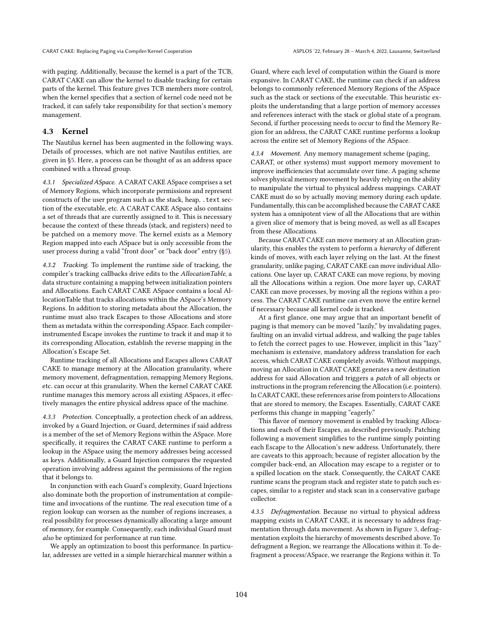with paging. Additionally, because the kernel is a part of the TCB, CARAT CAKE can allow the kernel to disable tracking for certain parts of the kernel. This feature gives TCB members more control, when the kernel specifies that a section of kernel code need not be tracked, it can safely take responsibility for that section's memory management.

#### 4.3 Kernel

The Nautilus kernel has been augmented in the following ways. Details of processes, which are not native Nautilus entities, are given in [ğ5.](#page-8-0) Here, a process can be thought of as an address space combined with a thread group.

4.3.1 Specialized ASpace. A CARAT CAKE ASpace comprises a set of Memory Regions, which incorporate permissions and represent constructs of the user program such as the stack, heap, .text section of the executable, etc. A CARAT CAKE ASpace also contains a set of threads that are currently assigned to it. This is necessary because the context of these threads (stack, and registers) need to be patched on a memory move. The kernel exists as a Memory Region mapped into each ASpace but is only accessible from the user process during a valid "front door" or "back door" entry (§5).

4.3.2 Tracking. To implement the runtime side of tracking, the compiler's tracking callbacks drive edits to the AllocationTable, a data structure containing a mapping between initialization pointers and Allocations. Each CARAT CAKE ASpace contains a local AllocationTable that tracks allocations within the ASpace's Memory Regions. In addition to storing metadata about the Allocation, the runtime must also track Escapes to those Allocations and store them as metadata within the corresponding ASpace. Each compilerinstrumented Escape invokes the runtime to track it and map it to its corresponding Allocation, establish the reverse mapping in the Allocation's Escape Set.

Runtime tracking of all Allocations and Escapes allows CARAT CAKE to manage memory at the Allocation granularity, where memory movement, defragmentation, remapping Memory Regions, etc. can occur at this granularity. When the kernel CARAT CAKE runtime manages this memory across all existing ASpaces, it effectively manages the entire physical address space of the machine.

4.3.3 Protection. Conceptually, a protection check of an address, invoked by a Guard Injection, or Guard, determines if said address is a member of the set of Memory Regions within the ASpace. More specifically, it requires the CARAT CAKE runtime to perform a lookup in the ASpace using the memory addresses being accessed as keys. Additionally, a Guard Injection compares the requested operation involving address against the permissions of the region that it belongs to.

In conjunction with each Guard's complexity, Guard Injections also dominate both the proportion of instrumentation at compiletime and invocations of the runtime. The real execution time of a region lookup can worsen as the number of regions increases, a real possibility for processes dynamically allocating a large amount of memory, for example. Consequently, each individual Guard must also be optimized for performance at run time.

We apply an optimization to boost this performance. In particular, addresses are vetted in a simple hierarchical manner within a

Guard, where each level of computation within the Guard is more expansive. In CARAT CAKE, the runtime can check if an address belongs to commonly referenced Memory Regions of the ASpace such as the stack or sections of the executable. This heuristic exploits the understanding that a large portion of memory accesses and references interact with the stack or global state of a program. Second, if further processing needs to occur to find the Memory Region for an address, the CARAT CAKE runtime performs a lookup across the entire set of Memory Regions of the ASpace.

#### 4.3.4 Movement. Any memory management scheme (paging,

CARAT, or other systems) must support memory movement to improve inefficiencies that accumulate over time. A paging scheme solves physical memory movement by heavily relying on the ability to manipulate the virtual to physical address mappings. CARAT CAKE must do so by actually moving memory during each update. Fundamentally, this can be accomplished because the CARAT CAKE system has a omnipotent view of all the Allocations that are within a given slice of memory that is being moved, as well as all Escapes from these Allocations.

Because CARAT CAKE can move memory at an Allocation granularity, this enables the system to perform a hierarchy of different kinds of moves, with each layer relying on the last. At the finest granularity, unlike paging, CARAT CAKE can move individual Allocations. One layer up, CARAT CAKE can move regions, by moving all the Allocations within a region. One more layer up, CARAT CAKE can move processes, by moving all the regions within a process. The CARAT CAKE runtime can even move the entire kernel if necessary because all kernel code is tracked.

At a first glance, one may argue that an important benefit of paging is that memory can be moved "lazily," by invalidating pages, faulting on an invalid virtual address, and walking the page tables to fetch the correct pages to use. However, implicit in this "lazy" mechanism is extensive, mandatory address translation for each access, which CARAT CAKE completely avoids. Without mappings, moving an Allocation in CARAT CAKE generates a new destination address for said Allocation and triggers a patch of all objects or instructions in the program referencing the Allocation (i.e. pointers). In CARAT CAKE, these references arise from pointers to Allocations that are stored to memory, the Escapes. Essentially, CARAT CAKE performs this change in mapping "eagerly."

This flavor of memory movement is enabled by tracking Allocations and each of their Escapes, as described previously. Patching following a movement simplifies to the runtime simply pointing each Escape to the Allocation's new address. Unfortunately, there are caveats to this approach; because of register allocation by the compiler back-end, an Allocation may escape to a register or to a spilled location on the stack. Consequently, the CARAT CAKE runtime scans the program stack and register state to patch such escapes, similar to a register and stack scan in a conservative garbage collector.

4.3.5 Defragmentation. Because no virtual to physical address mapping exists in CARAT CAKE, it is necessary to address fragmentation through data movement. As shown in Figure [3,](#page-7-0) defragmentation exploits the hierarchy of movements described above. To defragment a Region, we rearrange the Allocations within it. To defragment a process/ASpace, we rearrange the Regions within it. To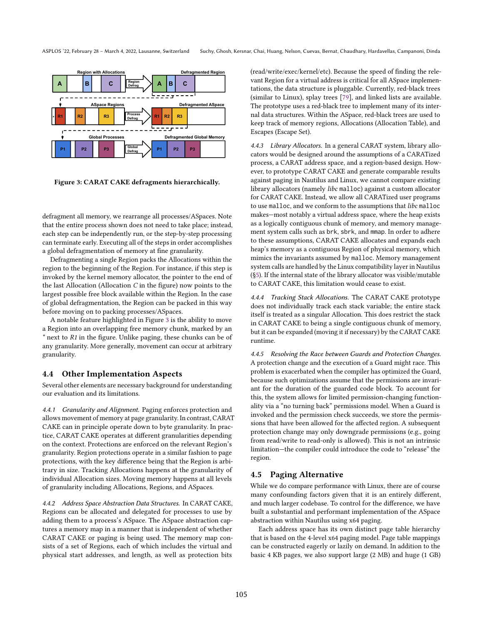<span id="page-7-0"></span>

Figure 3: CARAT CAKE defragments hierarchically.

defragment all memory, we rearrange all processes/ASpaces. Note that the entire process shown does not need to take place; instead, each step can be independently run, or the step-by-step processing can terminate early. Executing all of the steps in order accomplishes a global defragmentation of memory at fine granularity.

Defragmenting a single Region packs the Allocations within the region to the beginning of the Region. For instance, if this step is invoked by the kernel memory allocator, the pointer to the end of the last Allocation (Allocation  $C$  in the figure) now points to the largest possible free block available within the Region. In the case of global defragmentation, the Region can be packed in this way before moving on to packing processes/ASpaces.

A notable feature highlighted in Figure [3](#page-7-0) is the ability to move a Region into an overlapping free memory chunk, marked by an  $*$  next to  $R1$  in the figure. Unlike paging, these chunks can be of any granularity. More generally, movement can occur at arbitrary granularity.

#### 4.4 Other Implementation Aspects

Several other elements are necessary background for understanding our evaluation and its limitations.

4.4.1 Granularity and Alignment. Paging enforces protection and allows movement of memory at page granularity. In contrast, CARAT CAKE can in principle operate down to byte granularity. In practice, CARAT CAKE operates at different granularities depending on the context. Protections are enforced on the relevant Region's granularity. Region protections operate in a similar fashion to page protections, with the key difference being that the Region is arbitrary in size. Tracking Allocations happens at the granularity of individual Allocation sizes. Moving memory happens at all levels of granularity including Allocations, Regions, and ASpaces.

4.4.2 Address Space Abstraction Data Structures. In CARAT CAKE, Regions can be allocated and delegated for processes to use by adding them to a process's ASpace. The ASpace abstraction captures a memory map in a manner that is independent of whether CARAT CAKE or paging is being used. The memory map consists of a set of Regions, each of which includes the virtual and physical start addresses, and length, as well as protection bits

(read/write/exec/kernel/etc). Because the speed of finding the relevant Region for a virtual address is critical for all ASpace implementations, the data structure is pluggable. Currently, red-black trees (similar to Linux), splay trees [\[79\]](#page-16-12), and linked lists are available. The prototype uses a red-black tree to implement many of its internal data structures. Within the ASpace, red-black trees are used to keep track of memory regions, Allocations (Allocation Table), and Escapes (Escape Set).

4.4.3 Library Allocators. In a general CARAT system, library allocators would be designed around the assumptions of a CARATized process, a CARAT address space, and a region-based design. However, to prototype CARAT CAKE and generate comparable results against paging in Nautilus and Linux, we cannot compare existing library allocators (namely libc malloc) against a custom allocator for CARAT CAKE. Instead, we allow all CARATized user programs to use malloc, and we conform to the assumptions that libc malloc makes—most notably a virtual address space, where the heap exists as a logically contiguous chunk of memory, and memory management system calls such as brk, sbrk, and mmap. In order to adhere to these assumptions, CARAT CAKE allocates and expands each heap's memory as a contiguous Region of physical memory, which mimics the invariants assumed by malloc. Memory management system calls are handled by the Linux compatibility layer in Nautilus ([ğ5\)](#page-8-0). If the internal state of the library allocator was visible/mutable to CARAT CAKE, this limitation would cease to exist.

4.4.4 Tracking Stack Allocations. The CARAT CAKE prototype does not individually track each stack variable; the entire stack itself is treated as a singular Allocation. This does restrict the stack in CARAT CAKE to being a single contiguous chunk of memory, but it can be expanded (moving it if necessary) by the CARAT CAKE runtime.

4.4.5 Resolving the Race between Guards and Protection Changes. A protection change and the execution of a Guard might race. This problem is exacerbated when the compiler has optimized the Guard, because such optimizations assume that the permissions are invariant for the duration of the guarded code block. To account for this, the system allows for limited permission-changing functionality via a "no turning back" permissions model. When a Guard is invoked and the permission check succeeds, we store the permissions that have been allowed for the affected region. A subsequent protection change may only downgrade permissions (e.g., going from read/write to read-only is allowed). This is not an intrinsic limitation-the compiler could introduce the code to "release" the region.

## 4.5 Paging Alternative

While we do compare performance with Linux, there are of course many confounding factors given that it is an entirely different, and much larger codebase. To control for the difference, we have built a substantial and performant implementation of the ASpace abstraction within Nautilus using x64 paging.

Each address space has its own distinct page table hierarchy that is based on the 4-level x64 paging model. Page table mappings can be constructed eagerly or lazily on demand. In addition to the basic 4 KB pages, we also support large (2 MB) and huge (1 GB)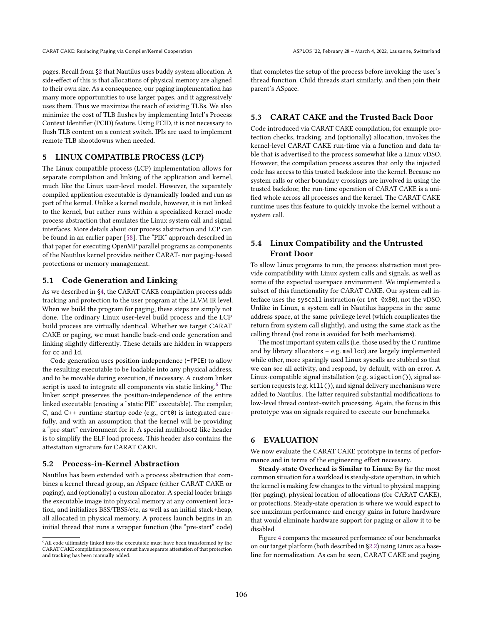pages. Recall from [ğ2](#page-2-1) that Nautilus uses buddy system allocation. A side-effect of this is that allocations of physical memory are aligned to their own size. As a consequence, our paging implementation has many more opportunities to use larger pages, and it aggressively uses them. Thus we maximize the reach of existing TLBs. We also minimize the cost of TLB flushes by implementing Intel's Process Context Identifier (PCID) feature. Using PCID, it is not necessary to flush TLB content on a context switch. IPIs are used to implement remote TLB shootdowns when needed.

#### <span id="page-8-0"></span>5 LINUX COMPATIBLE PROCESS (LCP)

The Linux compatible process (LCP) implementation allows for separate compilation and linking of the application and kernel, much like the Linux user-level model. However, the separately compiled application executable is dynamically loaded and run as part of the kernel. Unlike a kernel module, however, it is not linked to the kernel, but rather runs within a specialized kernel-mode process abstraction that emulates the Linux system call and signal interfaces. More details about our process abstraction and LCP can be found in an earlier paper [\[58\]](#page-15-20). The "PIK" approach described in that paper for executing OpenMP parallel programs as components of the Nautilus kernel provides neither CARAT- nor paging-based protections or memory management.

#### 5.1 Code Generation and Linking

As we described in [ğ4,](#page-4-1) the CARAT CAKE compilation process adds tracking and protection to the user program at the LLVM IR level. When we build the program for paging, these steps are simply not done. The ordinary Linux user-level build process and the LCP build process are virtually identical. Whether we target CARAT CAKE or paging, we must handle back-end code generation and linking slightly differently. These details are hidden in wrappers for cc and ld.

Code generation uses position-independence (-fPIE) to allow the resulting executable to be loadable into any physical address, and to be movable during execution, if necessary. A custom linker script is used to integrate all components via static linking. $6$  The linker script preserves the position-independence of the entire linked executable (creating a "static PIE" executable). The compiler, C, and C++ runtime startup code (e.g., crt0) is integrated carefully, and with an assumption that the kernel will be providing a "pre-start" environment for it. A special multiboot2-like header is to simplify the ELF load process. This header also contains the attestation signature for CARAT CAKE.

#### 5.2 Process-in-Kernel Abstraction

Nautilus has been extended with a process abstraction that combines a kernel thread group, an ASpace (either CARAT CAKE or paging), and (optionally) a custom allocator. A special loader brings the executable image into physical memory at any convenient location, and initializes BSS/TBSS/etc, as well as an initial stack+heap, all allocated in physical memory. A process launch begins in an initial thread that runs a wrapper function (the "pre-start" code)

that completes the setup of the process before invoking the user's thread function. Child threads start similarly, and then join their parent's ASpace.

## 5.3 CARAT CAKE and the Trusted Back Door

Code introduced via CARAT CAKE compilation, for example protection checks, tracking, and (optionally) allocation, invokes the kernel-level CARAT CAKE run-time via a function and data table that is advertised to the process somewhat like a Linux vDSO. However, the compilation process assures that only the injected code has access to this trusted backdoor into the kernel. Because no system calls or other boundary crossings are involved in using the trusted backdoor, the run-time operation of CARAT CAKE is a unified whole across all processes and the kernel. The CARAT CAKE runtime uses this feature to quickly invoke the kernel without a system call.

## 5.4 Linux Compatibility and the Untrusted Front Door

To allow Linux programs to run, the process abstraction must provide compatibility with Linux system calls and signals, as well as some of the expected userspace environment. We implemented a subset of this functionality for CARAT CAKE. Our system call interface uses the syscall instruction (or int 0x80), not the vDSO. Unlike in Linux, a system call in Nautilus happens in the same address space, at the same privilege level (which complicates the return from system call slightly), and using the same stack as the calling thread (red zone is avoided for both mechanisms).

The most important system calls (i.e. those used by the C runtime and by library allocators  $-$  e.g. malloc) are largely implemented while other, more sparingly used Linux syscalls are stubbed so that we can see all activity, and respond, by default, with an error. A Linux-compatible signal installation (e.g. sigaction()), signal assertion requests (e.g. kill()), and signal delivery mechanisms were added to Nautilus. The latter required substantial modifications to low-level thread context-switch processing. Again, the focus in this prototype was on signals required to execute our benchmarks.

#### 6 EVALUATION

We now evaluate the CARAT CAKE prototype in terms of performance and in terms of the engineering effort necessary.

Steady-state Overhead is Similar to Linux: By far the most common situation for a workload is steady-state operation, in which the kernel is making few changes to the virtual to physical mapping (for paging), physical location of allocations (for CARAT CAKE), or protections. Steady-state operation is where we would expect to see maximum performance and energy gains in future hardware that would eliminate hardware support for paging or allow it to be disabled.

Figure [4](#page-9-0) compares the measured performance of our benchmarks on our target platform (both described in [ğ2.2\)](#page-2-2) using Linux as a baseline for normalization. As can be seen, CARAT CAKE and paging

<span id="page-8-1"></span> $^6\mathrm{All}$  code ultimately linked into the executable must have been transformed by the CARAT CAKE compilation process, or must have separate attestation of that protection and tracking has been manually added.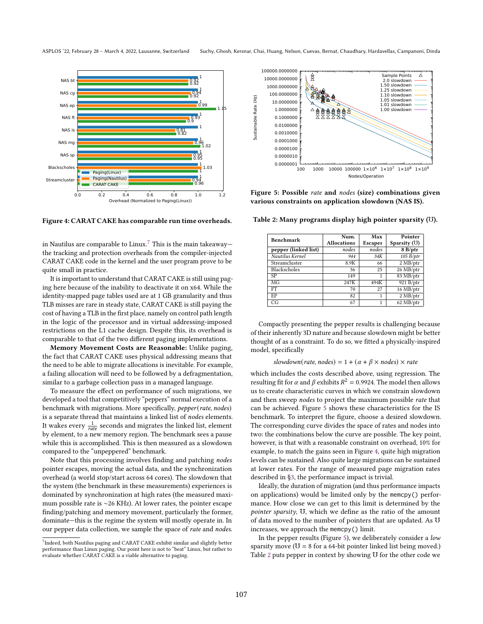<span id="page-9-0"></span>

Figure 4: CARAT CAKE has comparable run time overheads.

in Nautilus are comparable to Linux.<sup>[7](#page-9-1)</sup> This is the main takeaway the tracking and protection overheads from the compiler-injected CARAT CAKE code in the kernel and the user program prove to be quite small in practice.

It is important to understand that CARAT CAKE is still using paging here because of the inability to deactivate it on x64. While the identity-mapped page tables used are at 1 GB granularity and thus TLB misses are rare in steady state, CARAT CAKE is still paying the cost of having a TLB in the first place, namely on control path length in the logic of the processor and in virtual addressing-imposed restrictions on the L1 cache design. Despite this, its overhead is comparable to that of the two different paging implementations.

Memory Movement Costs are Reasonable: Unlike paging, the fact that CARAT CAKE uses physical addressing means that the need to be able to migrate allocations is inevitable. For example, a failing allocation will need to be followed by a defragmentation, similar to a garbage collection pass in a managed language.

To measure the effect on performance of such migrations, we developed a tool that competitively "peppers" normal execution of a benchmark with migrations. More specifically, pepper(rate, nodes) is a separate thread that maintains a linked list of nodes elements. It wakes every  $\frac{1}{\mathit{rate}}$  seconds and migrates the linked list, element by element, to a new memory region. The benchmark sees a pause while this is accomplished. This is then measured as a slowdown compared to the "unpeppered" benchmark.

Note that this processing involves finding and patching nodes pointer escapes, moving the actual data, and the synchronization overhead (a world stop/start across 64 cores). The slowdown that the system (the benchmark in these measurements) experiences is dominated by synchronization at high rates (the measured maximum possible rate is ∼26 KHz). At lower rates, the pointer escape finding/patching and memory movement, particularly the former, dominate-this is the regime the system will mostly operate in. In our pepper data collection, we sample the space of rate and nodes.

<span id="page-9-1"></span>

<span id="page-9-2"></span>

Figure 5: Possible rate and nodes (size) combinations given various constraints on application slowdown (NAS IS).

<span id="page-9-3"></span>Table 2: Many programs display high pointer sparsity (℧).

| Benchmark            | Num.               | Max            | Pointer        |
|----------------------|--------------------|----------------|----------------|
|                      | <b>Allocations</b> | <b>Escapes</b> | Sparsity $(U)$ |
| pepper (linked list) | nodes              | nodes          | 8B/ptr         |
| Nautilus Kernel      | 944                | 34K            | 105 B/ptr      |
| Streamcluster        | 8.9K               | 66             | 2 MB/ptr       |
| Blackscholes         | 36                 | 25             | 26 MB/ptr      |
| SP                   | 149                |                | 83 MB/ptr      |
| MG                   | 247K               | 494K           | 921 B/ptr      |
| FT                   | 70                 | 27             | 16 MB/ptr      |
| EP                   | 82                 |                | $2$ MB/ptr     |
| CG                   | 67                 |                | 62 MB/ptr      |

Compactly presenting the pepper results is challenging because of their inherently 3D nature and because slowdown might be better thought of as a constraint. To do so, we fitted a physically-inspired model, specifically

slowdown(rate, nodes) =  $1 + (\alpha + \beta \times nodes) \times rate$ 

which includes the costs described above, using regression. The resulting fit for  $\alpha$  and  $\beta$  exhibits  $R^2 = 0.9924$ . The model then allows us to create characteristic curves in which we constrain slowdown and then sweep nodes to project the maximum possible rate that can be achieved. Figure [5](#page-9-2) shows these characteristics for the IS benchmark. To interpret the figure, choose a desired slowdown. The corresponding curve divides the space of rates and nodes into two: the combinations below the curve are possible. The key point, however, is that with a reasonable constraint on overhead, 10% for example, to match the gains seen in Figure [4,](#page-9-0) quite high migration levels can be sustained. Also quite large migrations can be sustained at lower rates. For the range of measured page migration rates described in [ğ3,](#page-3-3) the performance impact is trivial.

Ideally, the duration of migration (and thus performance impacts on applications) would be limited only by the memcpy() performance. How close we can get to this limit is determined by the pointer sparsity, ℧, which we define as the ratio of the amount of data moved to the number of pointers that are updated. As ℧ increases, we approach the memcpy() limit.

In the pepper results (Figure [5\)](#page-9-2), we deliberately consider a low sparsity move ( $U = 8$  for a 64-bit pointer linked list being moved.) Table [2](#page-9-3) puts pepper in context by showing U for the other code we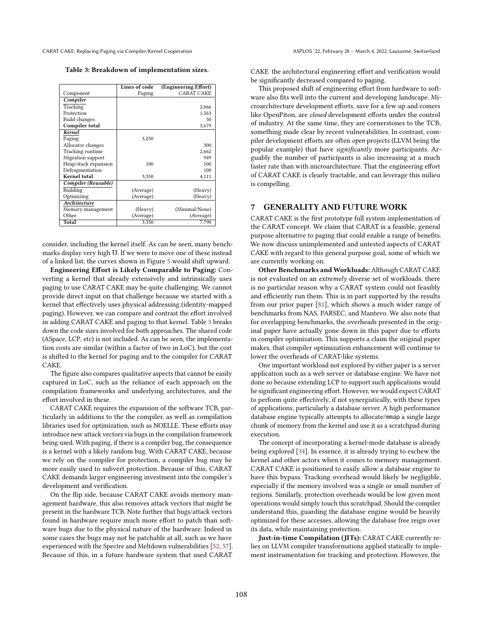<span id="page-10-0"></span>CARAT CAKE: Replacing Paging via Compiler/Kernel Cooperation ASPLOS '22, February 28 – March 4, 2022, Lausanne, Switzerland

Table 3: Breakdown of implementation sizes.

|                      | Lines of code | (Engineering Effort) |
|----------------------|---------------|----------------------|
| Component            | Paging        | <b>CARAT CAKE</b>    |
| Compiler             |               |                      |
| Tracking             |               | 2,066                |
| Protection           |               | 1,563                |
| <b>Build changes</b> |               | 50                   |
| Compiler total       |               | 3,679                |
| Kernel               |               |                      |
| Paging               | 3,250         |                      |
| Allocator changes    |               | 300                  |
| Tracking runtime     |               | 2,662                |
| Migration support    |               | 949                  |
| Heap/stack expansion | 100           | 100                  |
| Defragmentation      |               | 100                  |
| <b>Kernel</b> total  | 3,350         | 4,111                |
| Compiler (Reusable)  |               |                      |
| Building             | (Average)     | (Heavy)              |
| Optimizing           | (Average)     | (Heavy)              |
| Architecture         |               |                      |
| Memory management    | (Heavy)       | (Minimal/None)       |
| Other                | (Average)     | (Average)            |
| Total                | 3,350         | 7,790                |

consider, including the kernel itself. As can be seen, many benchmarks display very high ℧. If we were to move one of these instead of a linked list, the curves shown in Figure [5](#page-9-2) would shift upward.

Engineering Effort is Likely Comparable to Paging: Converting a kernel that already extensively and intrinsically uses paging to use CARAT CAKE may be quite challenging. We cannot provide direct input on that challenge because we started with a kernel that effectively uses physical addressing (identity-mapped paging). However, we can compare and contrast the effort involved in adding CARAT CAKE and paging to that kernel. Table [3](#page-10-0) breaks down the code sizes involved for both approaches. The shared code (ASpace, LCP, etc) is not included. As can be seen, the implementation costs are similar (within a factor of two in LoC), but the cost is shifted to the kernel for paging and to the compiler for CARAT CAKE.

The figure also compares qualitative aspects that cannot be easily captured in LoC, such as the reliance of each approach on the compilation frameworks and underlying architectures, and the effort involved in these.

CARAT CAKE requires the expansion of the software TCB, particularly in additions to the the compiler, as well as compilation libraries used for optimization, such as NOELLE. These efforts may introduce new attack vectors via bugs in the compilation framework being used. With paging, if there is a compiler bug, the consequence is a kernel with a likely random bug. With CARAT CAKE, because we rely on the compiler for protection, a compiler bug may be more easily used to subvert protection. Because of this, CARAT CAKE demands larger engineering investment into the compiler's development and verification.

On the flip side, because CARAT CAKE avoids memory management hardware, this also removes attack vectors that might be present in the hardware TCB. Note further that bugs/attack vectors found in hardware require much more effort to patch than software bugs due to the physical nature of the hardware. Indeed in some cases the bugs may not be patchable at all, such as we have experienced with the Spectre and Meltdown vulnerabilities [\[52,](#page-15-24) [57\]](#page-15-25). Because of this, in a future hardware system that used CARAT

CAKE the architectural engineering effort and verification would be significantly decreased compared to paging.

This proposed shift of engineering effort from hardware to software also fits well into the current and developing landscape. Microarchitecture development efforts, save for a few up and comers like OpenPiton, are closed development efforts under the control of industry. At the same time, they are cornerstones to the TCB, something made clear by recent vulnerabilities. In contrast, compiler development efforts are often open projects (LLVM being the popular example) that have significantly more participants. Arguably the number of participants is also increasing at a much faster rate than with microarchitecture. That the engineering effort of CARAT CAKE is clearly tractable, and can leverage this milieu is compelling.

## 7 GENERALITY AND FUTURE WORK

CARAT CAKE is the first prototype full system implementation of the CARAT concept. We claim that CARAT is a feasible, general purpose alternative to paging that could enable a range of benefits. We now discuss unimplemented and untested aspects of CARAT CAKE with regard to this general purpose goal, some of which we are currently working on.

Other Benchmarks and Workloads: Although CARAT CAKE is not evaluated on an extremely diverse set of workloads, there is no particular reason why a CARAT system could not feasibly and efficiently run them. This is in part supported by the results from our prior paper [\[81\]](#page-16-10), which shows a much wider range of benchmarks from NAS, PARSEC, and Mantevo. We also note that for overlapping benchmarks, the overheads presented in the original paper have actually gone down in this paper due to efforts in compiler optimization. This supports a claim the original paper makes, that compiler optimization enhancement will continue to lower the overheads of CARAT-like systems.

One important workload not explored by either paper is a server application such as a web server or database engine. We have not done so because extending LCP to support such applications would be significant engineering effort. However, we would expect CARAT to perform quite effectively, if not synergistically, with these types of applications, particularly a database server. A high performance database engine typically attempts to allocate/mmap a single large chunk of memory from the kernel and use it as a scratchpad during execution.

The concept of incorporating a kernel-mode database is already being explored [\[34\]](#page-15-26). In essence, it is already trying to eschew the kernel and other actors when it comes to memory management. CARAT CAKE is positioned to easily allow a database engine to have this bypass. Tracking overhead would likely be negligible, especially if the memory involved was a single or small number of regions. Similarly, protection overheads would be low given most operations would simply touch this scratchpad. Should the compiler understand this, guarding the database engine would be heavily optimized for these accesses, allowing the database free reign over its data, while maintaining protection.

Just-in-time Compilation (JITs): CARAT CAKE currently relies on LLVM compiler transformations applied statically to implement instrumentation for tracking and protection. However, the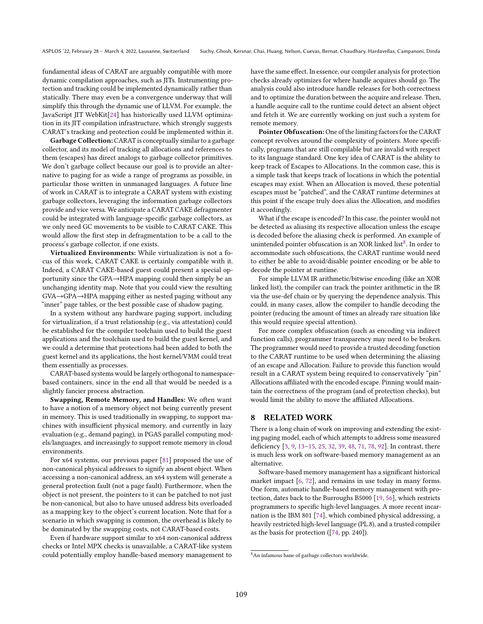fundamental ideas of CARAT are arguably compatible with more dynamic compilation approaches, such as JITs. Instrumenting protection and tracking could be implemented dynamically rather than statically. There may even be a convergence underway that will simplify this through the dynamic use of LLVM. For example, the JavaScript JIT WebKit[\[24\]](#page-14-12) has historically used LLVM optimization in its JIT compilation infrastructure, which strongly suggests CARAT's tracking and protection could be implemented within it.

Garbage Collection: CARAT is conceptually similar to a garbage collector, and its model of tracking all allocations and references to them (escapes) has direct analogs to garbage collector primitives. We don't garbage collect because our goal is to provide an alternative to paging for as wide a range of programs as possible, in particular those written in unmanaged languages. A future line of work in CARAT is to integrate a CARAT system with existing garbage collectors, leveraging the information garbage collectors provide and vice versa. We anticipate a CARAT CAKE defragmenter could be integrated with language-specific garbage collectors, as we only need GC movements to be visible to CARAT CAKE. This would allow the first step in defragmentation to be a call to the process's garbage collector, if one exists.

Virtualized Environments: While virtualization is not a focus of this work, CARAT CAKE is certainly compatible with it. Indeed, a CARAT CAKE-based guest could present a special opportunity since the GPA→HPA mapping could then simply be an unchanging identity map. Note that you could view the resulting GVA→GPA→HPA mapping either as nested paging without any "inner" page tables, or the best possible case of shadow paging.

In a system without any hardware paging support, including for virtualization, if a trust relationship (e.g., via attestation) could be established for the compiler toolchain used to build the guest applications and the toolchain used to build the guest kernel, and we could a determine that protections had been added to both the guest kernel and its applications, the host kernel/VMM could treat them essentially as processes.

CARAT-based systems would be largely orthogonal to namespacebased containers, since in the end all that would be needed is a slightly fancier process abstraction.

Swapping, Remote Memory, and Handles: We often want to have a notion of a memory object not being currently present in memory. This is used traditionally in swapping, to support machines with insufficient physical memory, and currently in lazy evaluation (e.g., demand paging), in PGAS parallel computing models/languages, and increasingly to support remote memory in cloud environments.

For x64 systems, our previous paper [\[81\]](#page-16-10) proposed the use of non-canonical physical addresses to signify an absent object. When accessing a non-canonical address, an x64 system will generate a general protection fault (not a page fault). Furthermore, when the object is not present, the pointers to it can be patched to not just be non-canonical, but also to have unused address bits overloaded as a mapping key to the object's current location. Note that for a scenario in which swapping is common, the overhead is likely to be dominated by the swapping costs, not CARAT-based costs.

Even if hardware support similar to x64 non-canonical address checks or Intel MPX checks is unavailable, a CARAT-like system could potentially employ handle-based memory management to have the same effect. In essence, our compiler analysis for protection checks already optimizes for where handle acquires should go. The analysis could also introduce handle releases for both correctness and to optimize the duration between the acquire and release. Then, a handle acquire call to the runtime could detect an absent object and fetch it. We are currently working on just such a system for remote memory.

Pointer Obfuscation: One of the limiting factors for the CARAT concept revolves around the complexity of pointers. More specifically, programs that are still compilable but are invalid with respect to its language standard. One key idea of CARAT is the ability to keep track of Escapes to Allocations. In the common case, this is a simple task that keeps track of locations in which the potential escapes may exist. When an Allocation is moved, these potential escapes must be "patched", and the CARAT runtime determines at this point if the escape truly does alias the Allocation, and modifies it accordingly.

What if the escape is encoded? In this case, the pointer would not be detected as aliasing its respective allocation unless the escape is decoded before the aliasing check is performed. An example of unintended pointer obfuscation is an XOR linked list<sup>[8](#page-11-0)</sup>. In order to accommodate such obfuscations, the CARAT runtime would need to either be able to avoid/disable pointer encoding or be able to decode the pointer at runtime.

For simple LLVM IR arithmetic/bitwise encoding (like an XOR linked list), the compiler can track the pointer arithmetic in the IR via the use-def chain or by querying the dependence analysis. This could, in many cases, allow the compiler to handle decoding the pointer (reducing the amount of times an already rare situation like this would require special attention).

For more complex obfuscation (such as encoding via indirect function calls), programmer transparency may need to be broken. The programmer would need to provide a trusted decoding function to the CARAT runtime to be used when determining the aliasing of an escape and Allocation. Failure to provide this function would result in a CARAT system being required to conservatively "pin" Allocations affiliated with the encoded escape. Pinning would maintain the correctness of the program (and of protection checks), but would limit the ability to move the affiliated Allocations.

#### 8 RELATED WORK

There is a long chain of work on improving and extending the existing paging model, each of which attempts to address some measured deficiency [\[3,](#page-14-13) [9,](#page-14-14) [13](#page-14-15)-15, [25,](#page-14-1) [32,](#page-15-27) [39,](#page-15-28) [48,](#page-15-1) [71,](#page-15-2) [78,](#page-15-29) [92\]](#page-16-1). In contrast, there is much less work on software-based memory management as an alternative.

Software-based memory management has a significant historical market impact [\[6,](#page-14-17) [72\]](#page-15-30), and remains in use today in many forms. One form, automatic handle-based memory management with protection, dates back to the Burroughs B5000 [\[19,](#page-14-18) [56\]](#page-15-31), which restricts programmers to specific high-level languages. A more recent incarnation is the IBM 801 [\[74\]](#page-15-32), which combined physical addressing, a heavily restricted high-level language (PL.8), and a trusted compiler as the basis for protection ([\[74,](#page-15-32) pp. 240]).

<span id="page-11-0"></span><sup>8</sup>An infamous bane of garbage collectors worldwide.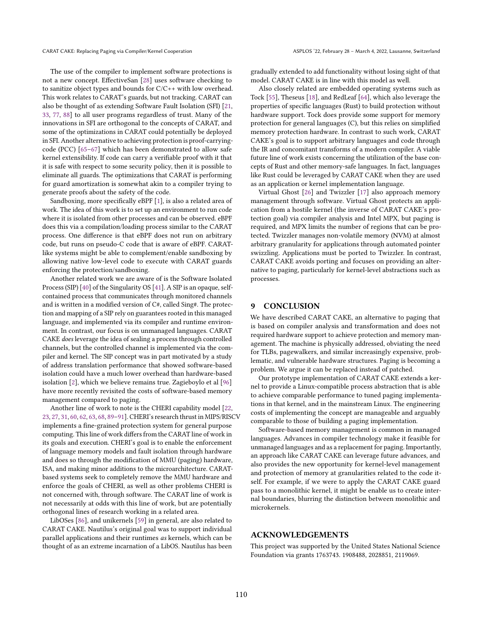The use of the compiler to implement software protections is not a new concept. EffectiveSan [\[28\]](#page-14-19) uses software checking to to sanitize object types and bounds for  $C/C++$  with low overhead. This work relates to CARAT's guards, but not tracking. CARAT can also be thought of as extending Software Fault Isolation (SFI) [\[21,](#page-14-20) [33,](#page-15-33) [77,](#page-15-34) [88\]](#page-16-13) to all user programs regardless of trust. Many of the innovations in SFI are orthogonal to the concepts of CARAT, and some of the optimizations in CARAT could potentially be deployed in SFI. Another alternative to achieving protection is proof-carryingcode (PCC)  $[65-67]$  $[65-67]$  which has been demonstrated to allow safe kernel extensibility. If code can carry a verifiable proof with it that it is safe with respect to some security policy, then it is possible to eliminate all guards. The optimizations that CARAT is performing for guard amortization is somewhat akin to a compiler trying to generate proofs about the safety of the code.

Sandboxing, more specifically eBPF [\[1\]](#page-14-21), is also a related area of work. The idea of this work is to set up an environment to run code where it is isolated from other processes and can be observed. eBPF does this via a compilation/loading process similar to the CARAT process. One difference is that eBPF does not run on arbitrary code, but runs on pseudo-C code that is aware of eBPF. CARATlike systems might be able to complement/enable sandboxing by allowing native low-level code to execute with CARAT guards enforcing the protection/sandboxing.

Another related work we are aware of is the Software Isolated Process (SIP) [\[40\]](#page-15-37) of the Singularity OS [\[41\]](#page-15-38). A SIP is an opaque, selfcontained process that communicates through monitored channels and is written in a modified version of C#, called Sing#. The protection and mapping of a SIP rely on guarantees rooted in this managed language, and implemented via its compiler and runtime environment. In contrast, our focus is on unmanaged languages. CARAT CAKE does leverage the idea of sealing a process through controlled channels, but the controlled channel is implemented via the compiler and kernel. The SIP concept was in part motivated by a study of address translation performance that showed software-based isolation could have a much lower overhead than hardware-based isolation [\[2\]](#page-14-22), which we believe remains true. Zagieboylo et al [\[96\]](#page-16-14) have more recently revisited the costs of software-based memory management compared to paging.

Another line of work to note is the CHERI capability model [\[22,](#page-14-23) [23,](#page-14-24) [27,](#page-14-25) [31,](#page-14-26) [60,](#page-15-39) [62,](#page-15-40) [63,](#page-15-41) [68,](#page-15-42) [89](#page-16-15)-91]. CHERI's research thrust in MIPS/RISCV implements a fine-grained protection system for general purpose computing. This line of work differs from the CARAT line of work in its goals and execution. CHERI's goal is to enable the enforcement of language memory models and fault isolation through hardware and does so through the modification of MMU (paging) hardware, ISA, and making minor additions to the microarchitecture. CARATbased systems seek to completely remove the MMU hardware and enforce the goals of CHERI, as well as other problems CHERI is not concerned with, through software. The CARAT line of work is not necessarily at odds with this line of work, but are potentially orthogonal lines of research working in a related area.

LibOSes [\[86\]](#page-16-17), and unikernels [\[59\]](#page-15-43) in general, are also related to CARAT CAKE. Nautilus's original goal was to support individual parallel applications and their runtimes as kernels, which can be thought of as an extreme incarnation of a LibOS. Nautilus has been

gradually extended to add functionality without losing sight of that model. CARAT CAKE is in line with this model as well.

Also closely related are embedded operating systems such as Tock [\[55\]](#page-15-44), Theseus [\[18\]](#page-14-27), and RedLeaf [\[64\]](#page-15-45), which also leverage the properties of specific languages (Rust) to build protection without hardware support. Tock does provide some support for memory protection for general languages (C), but this relies on simplified memory protection hardware. In contrast to such work, CARAT CAKE's goal is to support arbitrary languages and code through the IR and concomitant transforms of a modern compiler. A viable future line of work exists concerning the utilization of the base concepts of Rust and other memory-safe languages. In fact, languages like Rust could be leveraged by CARAT CAKE when they are used as an application or kernel implementation language.

Virtual Ghost [\[26\]](#page-14-28) and Twizzler [\[17\]](#page-14-29) also approach memory management through software. Virtual Ghost protects an application from a hostile kernel (the inverse of CARAT CAKE's protection goal) via compiler analysis and Intel MPX, but paging is required, and MPX limits the number of regions that can be protected. Twizzler manages non-volatile memory (NVM) at almost arbitrary granularity for applications through automated pointer swizzling. Applications must be ported to Twizzler. In contrast, CARAT CAKE avoids porting and focuses on providing an alternative to paging, particularly for kernel-level abstractions such as processes.

#### 9 CONCLUSION

We have described CARAT CAKE, an alternative to paging that is based on compiler analysis and transformation and does not required hardware support to achieve protection and memory management. The machine is physically addressed, obviating the need for TLBs, pagewalkers, and similar increasingly expensive, problematic, and vulnerable hardware structures. Paging is becoming a problem. We argue it can be replaced instead of patched.

Our prototype implementation of CARAT CAKE extends a kernel to provide a Linux-compatible process abstraction that is able to achieve comparable performance to tuned paging implementations in that kernel, and in the mainstream Linux. The engineering costs of implementing the concept are manageable and arguably comparable to those of building a paging implementation.

Software-based memory management is common in managed languages. Advances in compiler technology make it feasible for unmanaged languages and as a replacement for paging. Importantly, an approach like CARAT CAKE can leverage future advances, and also provides the new opportunity for kernel-level management and protection of memory at granularities related to the code itself. For example, if we were to apply the CARAT CAKE guard pass to a monolithic kernel, it might be enable us to create internal boundaries, blurring the distinction between monolithic and microkernels.

#### ACKNOWLEDGEMENTS

This project was supported by the United States National Science Foundation via grants 1763743. 1908488, 2028851, 2119069.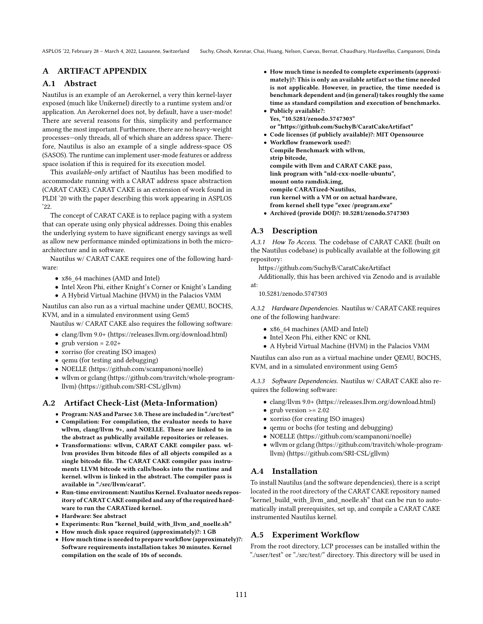## A ARTIFACT APPENDIX

## A.1 Abstract

Nautilus is an example of an Aerokernel, a very thin kernel-layer exposed (much like Unikernel) directly to a runtime system and/or application. An Aerokernel does not, by default, have a user-mode! There are several reasons for this, simplicity and performance among the most important. Furthermore, there are no heavy-weight processes-only threads, all of which share an address space. Therefore, Nautilus is also an example of a single address-space OS (SASOS). The runtime can implement user-mode features or address space isolation if this is required for its execution model.

This available-only artifact of Nautilus has been modified to accommodate running with a CARAT address space abstraction (CARAT CAKE). CARAT CAKE is an extension of work found in PLDI '20 with the paper describing this work appearing in ASPLOS '22.

The concept of CARAT CAKE is to replace paging with a system that can operate using only physical addresses. Doing this enables the underlying system to have significant energy savings as well as allow new performance minded optimizations in both the microarchitecture and in software.

Nautilus w/ CARAT CAKE requires one of the following hardware:

- x86\_64 machines (AMD and Intel)
- Intel Xeon Phi, either Knight's Corner or Knight's Landing
- A Hybrid Virtual Machine (HVM) in the Palacios VMM

Nautilus can also run as a virtual machine under QEMU, BOCHS, KVM, and in a simulated environment using Gem5

Nautilus w/ CARAT CAKE also requires the following software:

- clang/llvm 9.0+ (https://releases.llvm.org/download.html)
- grub version =  $2.02+$
- xorriso (for creating ISO images)
- qemu (for testing and debugging)
- NOELLE (https://github.com/scampanoni/noelle)
- wllvm or gclang (https://github.com/travitch/whole-programllvm) (https://github.com/SRI-CSL/gllvm)

## A.2 Artifact Check-List (Meta-Information)

- Program: NAS and Parsec 3.0. These are included in "./src/test"
- Compilation: For compilation, the evaluator needs to have wllvm, clang/llvm 9+, and NOELLE. These are linked to in the abstract as publically available repositories or releases.
- Transformations: wllvm, CARAT CAKE compiler pass. wllvm provides llvm bitcode files of all objects compiled as a single bitcode file. The CARAT CAKE compiler pass instruments LLVM bitcode with calls/hooks into the runtime and kernel. wllvm is linked in the abstract. The compiler pass is available in "./src/llvm/carat".
- Run-time environment: Nautilus Kernel. Evaluator needs repository of CARAT CAKE compiled and any of the required hardware to run the CARATized kernel.
- Hardware: See abstract
- Experiments: Run "kernel\_build\_with\_llvm\_and\_noelle.sh"
- How much disk space required (approximately)?: 1 GB
- How much time is needed to prepare workflow (approximately)?: Software requirements installation takes 30 minutes. Kernel compilation on the scale of 10s of seconds.
- How much time is needed to complete experiments (approximately)?: This is only an available artifact so the time needed is not applicable. However, in practice, the time needed is benchmark dependent and (in general) takes roughly the same time as standard compilation and execution of benchmarks.
- Publicly available?: Yes, "10.5281/zenodo.5747303" or "https://github.com/SuchyB/CaratCakeArtifact"
- Code licenses (if publicly available)?: MIT Opensource
- Workflow framework used?: Compile Benchmark with wllvm, strip bitcode, compile with llvm and CARAT CAKE pass, link program with "nld-cxx-noelle-ubuntu", mount onto ramdisk.img, compile CARATized-Nautilus, run kernel with a VM or on actual hardware, from kernel shell type "exec /program.exe"
- Archived (provide DOI)?: 10.5281/zenodo.5747303

## A.3 Description

A.3.1 How To Access. The codebase of CARAT CAKE (built on the Nautilus codebase) is publically available at the following git repository:

https://github.com/SuchyB/CaratCakeArtifact

Additionally, this has been archived via Zenodo and is available at:

10.5281/zenodo.5747303

A.3.2 Hardware Dependencies. Nautilus w/ CARAT CAKE requires one of the following hardware:

- x86 64 machines (AMD and Intel)
- Intel Xeon Phi, either KNC or KNL
- A Hybrid Virtual Machine (HVM) in the Palacios VMM

Nautilus can also run as a virtual machine under QEMU, BOCHS, KVM, and in a simulated environment using Gem5

A.3.3 Software Dependencies. Nautilus w/ CARAT CAKE also requires the following software:

- clang/llvm 9.0+ (https://releases.llvm.org/download.html)
- grub version  $>= 2.02$
- xorriso (for creating ISO images)
- qemu or bochs (for testing and debugging)
- NOELLE (https://github.com/scampanoni/noelle)
- wllvm or gclang (https://github.com/travitch/whole-programllvm) (https://github.com/SRI-CSL/gllvm)

## A.4 Installation

To install Nautilus (and the software dependencies), there is a script located in the root directory of the CARAT CAKE repository named "kernel\_build\_with\_llvm\_and\_noelle.sh" that can be run to automatically install prerequisites, set up, and compile a CARAT CAKE instrumented Nautilus kernel.

## A.5 Experiment Workflow

From the root directory, LCP processes can be installed within the "./user/test" or "./src/test/" directory. This directory will be used in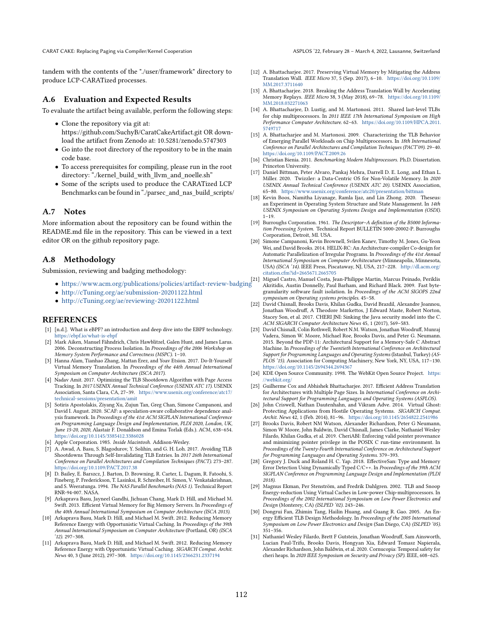CARAT CAKE: Replacing Paging via Compiler/Kernel Cooperation ASPLOS '22, February 28 – March 4, 2022, Lausanne, Switzerland

tandem with the contents of the "./user/framework" directory to produce LCP-CARATized processes.

#### A.6 Evaluation and Expected Results

To evaluate the artifact being available, perform the following steps:

- Clone the repository via git at: https://github.com/SuchyB/CaratCakeArtifact.git OR download the artifact from Zenodo at: 10.5281/zenodo.5747303
- Go into the root directory of the repository to be in the main code base.
- To access prerequisites for compiling, please run in the root directory: "./kernel\_build\_with\_llvm\_and\_noelle.sh"
- Some of the scripts used to produce the CARATized LCP Benchmarks can be found in "./parsec\_and\_nas\_build\_scripts/

#### A.7 Notes

More information about the repository can be found within the README.md file in the repository. This can be viewed in a text editor OR on the github repository page.

## A.8 Methodology

Submission, reviewing and badging methodology:

- $\bullet$ <https://www.acm.org/publications/policies/artifact-review-badging>  $^{[21]}$
- <http://cTuning.org/ae/submission-20201122.html>
- <http://cTuning.org/ae/reviewing-20201122.html>

#### **REFERENCES**

- <span id="page-14-21"></span>[1] [n.d.]. What is eBPF? an introduction and deep dive into the EBPF technology. <https://ebpf.io/what-is-ebpf>
- <span id="page-14-22"></span>[2] Mark Aiken, Manuel Fähndrich, Chris Hawblitzel, Galen Hunt, and James Larus. 2006. Deconstructing Process Isolation. In Proceedings of the 2006 Workshop on Memory System Performance and Correctness (MSPC). 1-10.
- <span id="page-14-13"></span>[3] Hanna Alam, Tianhao Zhang, Mattan Erez, and Yoav Etsion. 2017. Do-It-Yourself Virtual Memory Translation. In Proceedings of the 44th Annual International Symposium on Computer Architecture (ISCA 2017).
- <span id="page-14-5"></span>[4] Nadav Amit. 2017. Optimizing the TLB Shootdown Algorithm with Page Access Tracking. In 2017 USENIX Annual Technical Conference (USENIX ATC 17). USENIX Association, Santa Clara, CA, 27-39. [https://www.usenix.org/conference/atc17/](https://www.usenix.org/conference/atc17/technical-sessions/presentation/amit) [technical-sessions/presentation/amit](https://www.usenix.org/conference/atc17/technical-sessions/presentation/amit)
- <span id="page-14-9"></span>[5] Sotiris Apostolakis, Ziyang Xu, Zujun Tan, Greg Chan, Simone Campanoni, and David I. August. 2020. SCAF: a speculation-aware collaborative dependence analysis framework. In Proceedings of the 41st ACM SIGPLAN International Conference on Programming Language Design and Implementation, PLDI 2020, London, UK, June 15-20, 2020, Alastair F. Donaldson and Emina Torlak (Eds.). ACM, 638-654. <https://doi.org/10.1145/3385412.3386028>
- <span id="page-14-17"></span>[6] Apple Corporation. 1985. Inside Macintosh. Addison-Wesley.
- <span id="page-14-6"></span>[7] A. Awad, A. Basu, S. Blagodurov, Y. Solihin, and G. H. Loh. 2017. Avoiding TLB Shootdowns Through Self-Invalidating TLB Entries. In 2017 26th International Conference on Parallel Architectures and Compilation Techniques (PACT). 273-287. <https://doi.org/10.1109/PACT.2017.38>
- <span id="page-14-10"></span>[8] D. Bailey, E. Barszcz, J. Barton, D. Browning, R. Carter, L. Dagum, R. Fatoohi, S. Fineberg, P. Frederickson, T. Lasinksi, R. Schreiber, H. Simon, V. Venkatakrishnan, and S. Weeratunga. 1994. The NAS Parallel Benchmarks (NAS 1). Technical Report RNR-94-007. NASA.
- <span id="page-14-14"></span>[9] Arkaprava Basu, Jayneel Gandhi, Jichuan Chang, Mark D. Hill, and Michael M. Swift. 2013. Efficient Virtual Memory for Big Memory Servers. In Proceedings of the 40th Annual International Symposium on Computer Architecture (ISCA 2013).
- <span id="page-14-3"></span>[10] Arkaprava Basu, Mark D. Hill, and Michael M. Swift. 2012. Reducing Memory Reference Energy with Opportunistic Virtual Caching. In Proceedings of the 39th Annual International Symposium on Computer Architecture (Portland, OR) (ISCA  $'12$ ). 297 $-308$ .
- <span id="page-14-7"></span>[11] Arkaprava Basu, Mark D. Hill, and Michael M. Swift. 2012. Reducing Memory Reference Energy with Opportunistic Virtual Caching. SIGARCH Comput. Archit. News 40, 3 (June 2012), 297-308. <https://doi.org/10.1145/2366231.2337194>
- <span id="page-14-0"></span>[12] A. Bhattacharjee. 2017. Preserving Virtual Memory by Mitigating the Address Translation Wall. IEEE Micro 37, 5 (Sep. 2017), 6-10. [https://doi.org/10.1109/](https://doi.org/10.1109/MM.2017.3711640) [MM.2017.3711640](https://doi.org/10.1109/MM.2017.3711640)
- <span id="page-14-15"></span>[13] A. Bhattacharjee. 2018. Breaking the Address Translation Wall by Accelerating Memory Replays. IEEE Micro 38, 3 (May 2018), 69-78. [https://doi.org/10.1109/](https://doi.org/10.1109/MM.2018.032271063) [MM.2018.032271063](https://doi.org/10.1109/MM.2018.032271063)
- [14] A. Bhattacharjee, D. Lustig, and M. Martonosi. 2011. Shared last-level TLBs for chip multiprocessors. In 2011 IEEE 17th International Symposium on High Performance Computer Architecture. 62-63. [https://doi.org/10.1109/HPCA.2011.](https://doi.org/10.1109/HPCA.2011.5749717) [5749717](https://doi.org/10.1109/HPCA.2011.5749717)
- <span id="page-14-16"></span>[15] A. Bhattacharjee and M. Martonosi. 2009. Characterizing the TLB Behavior of Emerging Parallel Workloads on Chip Multiprocessors. In 18th International Conference on Parallel Architectures and Compilation Techniques (PACT'09). 29-40. <https://doi.org/10.1109/PACT.2009.26>
- <span id="page-14-11"></span>[16] Christian Bienia. 2011. Benchmarking Modern Multiprocessors. Ph.D. Dissertation. Princeton University.
- <span id="page-14-29"></span>[17] Daniel Bittman, Peter Alvaro, Pankaj Mehra, Darrell D. E. Long, and Ethan L. Miller. 2020. Twizzler: a Data-Centric OS for Non-Volatile Memory. In 2020 USENIX Annual Technical Conference (USENIX ATC 20). USENIX Association, 65-80. <https://www.usenix.org/conference/atc20/presentation/bittman>
- <span id="page-14-27"></span>[18] Kevin Boos, Namitha Liyanage, Ramla Ijaz, and Lin Zhong. 2020. Theseus: an Experiment in Operating System Structure and State Management. In 14th USENIX Symposium on Operating Systems Design and Implementation (OSDI).  $1 - 19.$
- <span id="page-14-18"></span>[19] Burroughs Corporation. 1961. The Descriptor-A definition of the B5000 Information Processing System. Technical Report BULLETIN 5000-20002-P. Burroughs Corporation, Detroit, MI. USA.
- <span id="page-14-8"></span>[20] Simone Campanoni, Kevin Brownell, Svilen Kanev, Timothy M. Jones, Gu-Yeon Wei, and David Brooks. 2014. HELIX-RC: An Architecture-compiler Co-design for Automatic Parallelization of Irregular Programs. In Proceedings of the 41st Annual International Symposium on Computer Architecuture (Minneapolis, Minnesota, USA) (ISCA '14). IEEE Press, Piscataway, NJ, USA, 217-228. [http://dl.acm.org/](http://dl.acm.org/citation.cfm?id=2665671.2665705) [citation.cfm?id=2665671.2665705](http://dl.acm.org/citation.cfm?id=2665671.2665705)
- <span id="page-14-20"></span> ${\rm Miguel}$  Castro, Manuel Costa, Jean-Philippe Martin, Marcus Peinado, Periklis Akritidis, Austin Donnelly, Paul Barham, and Richard Black. 2009. Fast bytegranularity software fault isolation. In Proceedings of the ACM SIGOPS 22nd symposium on Operating systems principles. 45–58.
- <span id="page-14-23"></span>[22] David Chisnall, Brooks Davis, Khilan Gudka, David Brazdil, Alexandre Joannou, Jonathan Woodruff, A Theodore Markettos, J Edward Maste, Robert Norton, Stacey Son, et al. 2017. CHERI JNI: Sinking the Java security model into the C. ACM SIGARCH Computer Architecture News 45, 1 (2017), 569-583.
- <span id="page-14-24"></span>[23] David Chisnall, Colin Rothwell, Robert N.M. Watson, Jonathan Woodruff, Munraj Vadera, Simon W. Moore, Michael Roe, Brooks Davis, and Peter G. Neumann. 2015. Beyond the PDP-11: Architectural Support for a Memory-Safe C Abstract Machine. In Proceedings of the Twentieth International Conference on Architectural Support for Programming Languages and Operating Systems (Istanbul, Turkey) (AS-PLOS '15). Association for Computing Machinery, New York, NY, USA, 117-130. <https://doi.org/10.1145/2694344.2694367>
- <span id="page-14-12"></span>[24] KDE Open Source Community. 1998. The WebKit Open Source Project. [https:](https://webkit.org/) [//webkit.org/](https://webkit.org/)
- <span id="page-14-1"></span>[25] Guilherme Cox and Abhishek Bhattacharjee. 2017. Efficient Address Translation for Architectures with Multiple Page Sizes. In International Conference on Architectural Support for Programming Languages and Operating Systems (ASPLOS).
- <span id="page-14-28"></span>[26] John Criswell, Nathan Dautenhahn, and Vikram Adve. 2014. Virtual Ghost: Protecting Applications from Hostile Operating Systems. SIGARCH Comput. Archit. News 42, 1 (Feb. 2014), 81-96. <https://doi.org/10.1145/2654822.2541986>
- <span id="page-14-25"></span>[27] Brooks Davis, Robert NM Watson, Alexander Richardson, Peter G Neumann, Simon W Moore, John Baldwin, David Chisnall, James Clarke, Nathaniel Wesley Filardo, Khilan Gudka, et al. 2019. CheriABI: Enforcing valid pointer provenance and minimizing pointer privilege in the POSIX C run-time environment. In Proceedings of the Twenty-Fourth International Conference on Architectural Support for Programming Languages and Operating Systems. 379-393.
- <span id="page-14-19"></span>[28] Gregory J. Duck and Roland H. C. Yap. 2018. EffectiveSan: Type and Memory Error Detection Using Dynamically Typed C/C++. In Proceedings of the 39th ACM SIGPLAN Conference on Programming Language Design and Implementation (PLDI 2018).
- <span id="page-14-4"></span>[29] Magnus Ekman, Per Stenström, and Fredrik Dahlgren. 2002. TLB and Snoop Energy-reduction Using Virtual Caches in Low-power Chip-multiprocessors. In Proceedings of the 2002 International Symposium on Low Power Electronics and Design (Monterey, CA) (ISLPED '02). 243-246.
- <span id="page-14-2"></span>[30] Dongrui Fan, Zhimin Tang, Hailin Huang, and Guang R. Gao. 2005. An Energy Efficient TLB Design Methodology. In Proceedings of the 2005 International Symposium on Low Power Electronics and Design (San Diego, CA) (ISLPED '05).  $351 - 356$ .
- <span id="page-14-26"></span>[31] Nathaniel Wesley Filardo, Brett F Gutstein, Jonathan Woodruff, Sam Ainsworth, Lucian Paul-Trifu, Brooks Davis, Hongyan Xia, Edward Tomasz Napierala, Alexander Richardson, John Baldwin, et al. 2020. Cornucopia: Temporal safety for cheri heaps. In 2020 IEEE Symposium on Security and Privacy (SP). IEEE, 608-625.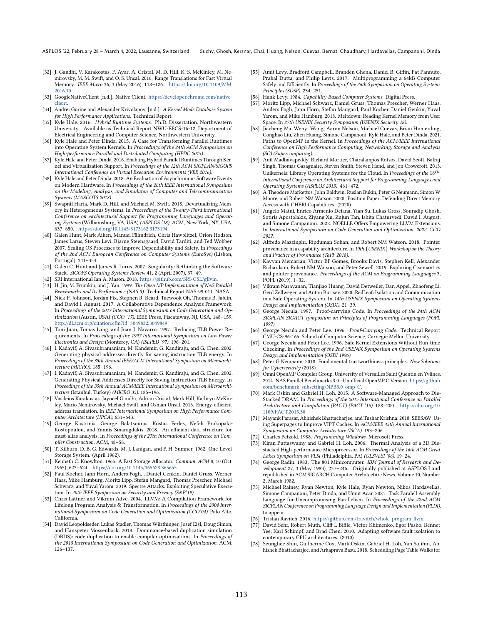- <span id="page-15-27"></span>[32] J. Gandhi, V. Karakostas, F. Ayar, A. Cristal, M. D. Hill, K. S. McKinley, M. Nemirovsky, M. M. Swift, and O. S. Ünsal. 2016. Range Translations for Fast Virtual Memory. IEEE Micro 36, 3 (May 2016), 118-126. [https://doi.org/10.1109/MM.](https://doi.org/10.1109/MM.2016.10) [2016.10](https://doi.org/10.1109/MM.2016.10)
- <span id="page-15-33"></span>[33] GoogleNativeClient [n.d.]. Native Client. [https://developer.chrome.com/native](https://developer.chrome.com/native-client)[client.](https://developer.chrome.com/native-client)
- <span id="page-15-26"></span>[34] Andrei Gorine and Alexander Krivolapov. [n.d.]. A Kernel Mode Database System for High Performance Applications. Technical Report.
- <span id="page-15-16"></span>[35] Kyle Hale. 2016. Hybrid Runtime Systems. Ph.D. Dissertation. Northwestern University. Available as Technical Report NWU-EECS-16-12, Department of Electrical Engineering and Computer Science, Northwestern University.
- <span id="page-15-17"></span>[36] Kyle Hale and Peter Dinda. 2015. A Case for Transforming Parallel Runtimes into Operating System Kernels. In Proceedings of the 24th ACM Symposium on High-performance Parallel and Distributed Computing (HPDC 2015).
- <span id="page-15-15"></span>[37] Kyle Hale and Peter Dinda. 2016. Enabling Hybrid Parallel Runtimes Through Kernel and Virtualization Support. In Proceedings of the 12th ACM SIGPLAN/SIGOPS International Conference on Virtual Execution Environments (VEE 2016).
- <span id="page-15-19"></span>[38] Kyle Hale and Peter Dinda. 2018. An Evaluation of Asynchronous Software Events on Modern Hardware. In Proceedings of the 26th IEEE International Symposium on the Modeling, Analysis, and Simulaton of Computer and Telecommunication Systems (MASCOTS 2018).
- <span id="page-15-28"></span>[39] Swapnil Haria, Mark D. Hill, and Michael M. Swift. 2018. Devirtualizing Memory in Heterogeneous Systems. In Proceedings of the Twenty-Third International Conference on Architectural Support for Programming Languages and Operating Systems (Williamsburg, VA, USA) (ASPLOS '18). ACM, New York, NY, USA, 637-650. <https://doi.org/10.1145/3173162.3173194>
- <span id="page-15-37"></span>[40] Galen Hunt, Mark Aiken, Manuel Fähndrich, Chris Hawblitzel, Orion Hodson, James Larus, Steven Levi, Bjarne Steensgaard, David Tarditi, and Ted Wobber. 2007. Sealing OS Processes to Improve Dependability and Safety. In Proceedings of the 2nd ACM European Conference on Computer Systems (EuroSys) (Lisbon, Portugal). 341-354.
- <span id="page-15-38"></span>[41] Galen C. Hunt and James R. Larus. 2007. Singularity: Rethinking the Software Stack. SIGOPS Operating Systems Review 41, 2 (April 2007), 37-49.
- <span id="page-15-13"></span>SRI International Ian A. Mason. 2018. https://github.com/SRI-CSL/gllvm
- <span id="page-15-22"></span>[43] H. Jin, M. Frumkin, and J. Yan. 1999. The Open MP Implementation of NAS Parallel Benchmarks and Its Performance (NAS 3). Technical Report NAS-99-011. NASA.
- <span id="page-15-8"></span>[44] Nick P. Johnson, Jordan Fix, Stephen R. Beard, Taewook Oh, Thomas B. Jablin, and David I. August. 2017. A Collaborative Dependence Analysis Framework. In Proceedings of the 2017 International Symposium on Code Generation and Optimization (Austin, USA) (CGO '17). IEEE Press, Piscataway, NJ, USA, 148-159. <http://dl.acm.org/citation.cfm?id=3049832.3049849>
- <span id="page-15-4"></span>[45] Toni Juan, Tomas Lang, and Juan J. Navarro. 1997. Reducing TLB Power Requirements. In Proceedings of the 1997 International Symposium on Low Power Electronics and Design (Monterey, CA) (ISLPED '97). 196-201.
- <span id="page-15-5"></span>[46] I. Kadayif, A. Sivasubramaniam, M. Kandemir, G. Kandiraju, and G. Chen. 2002. Generating physical addresses directly for saving instruction TLB energy. In Proceedings of the 35th Annual IEEE/ACM International Symposium on Microarchi $tecture$  (MICRO).  $185-196$ .
- <span id="page-15-7"></span>[47] I. Kadayif, A. Sivasubramaniam, M. Kandemir, G. Kandiraju, and G. Chen. 2002. Generating Physical Addresses Directly for Saving Instruction TLB Energy. In Proceedings of the 35th Annual ACM/IEEE International Symposium on Microarchitecture (Istanbul, Turkey) (MICRO 35). 185-196.
- <span id="page-15-1"></span>[48] Vasileios Karakostas, Jayneel Gandhi, Adrian Cristal, Mark Hill, Kathryn McKinley, Mario Nemirovsky, Michael Swift, and Osman Unsal. 2016. Energy-efficient address translation. In IEEE International Symposium on High Performance Computer Architecture (HPCA). 631-643.
- <span id="page-15-9"></span>[49] George Kastrinis, George Balatsouras, Kostas Ferles, Nefeli Prokopaki-Kostopoulou, and Yannis Smaragdakis. 2018. An efficient data structure for must-alias analysis. In Proceedings of the 27th International Conference on Com-
- <span id="page-15-0"></span>piler Construction. ACM, 48-58.<br>[50] T. Kilburn, D. B. G. Edwards, M. J. Lanigan, and F. H. Sumner. 1962. One-Level Storage System. (April 1962).
- <span id="page-15-18"></span>[51] Kenneth C. Knowlton. 1965. A Fast Storage Allocator. Commun. ACM 8, 10 (Oct. 1965), 623-624. <https://doi.org/10.1145/365628.365655>
- <span id="page-15-24"></span>[52] Paul Kocher, Jann Horn, Anders Fogh, , Daniel Genkin, Daniel Gruss, Werner Haas, Mike Hamburg, Moritz Lipp, Stefan Mangard, Thomas Prescher, Michael Schwarz, and Yuval Yarom. 2019. Spectre Attacks: Exploiting Speculative Execution. In 40th IEEE Symposium on Security and Privacy (S&P'19).
- <span id="page-15-11"></span>[53] Chris Lattner and Vikram Adve. 2004. LLVM: A Compilation Framework for Lifelong Program Analysis & Transformation. In Proceedings of the 2004 International Symposium on Code Generation and Optimization (CGO'04). Palo Alto, California.
- <span id="page-15-10"></span>[54] David Leopoldseder, Lukas Stadler, Thomas Würthinger, Josef Eisl, Doug Simon, and Hanspeter Mössenböck. 2018. Dominance-based duplication simulation (DBDS): code duplication to enable compiler optimizations. In Proceedings of the 2018 International Symposium on Code Generation and Optimization. ACM,  $126 - 137.$
- <span id="page-15-44"></span>[55] Amit Levy, Bradford Campbell, Branden Ghena, Daniel B. Giffin, Pat Pannuto, Prabal Dutta, and Philip Levis. 2017. Multiprogramming a 64kB Computer Safely and Efficiently. In Proceedings of the 26th Symposium on Operating Systems Principles (SOSP). 234-251.
- <span id="page-15-31"></span>[56] Hank Levy. 1984. Capability-Based Computer Systems. Digital Press.
- <span id="page-15-25"></span>[57] Moritz Lipp, Michael Schwarz, Daniel Gruss, Thomas Prescher, Werner Haas, Anders Fogh, Jann Horn, Stefan Mangard, Paul Kocher, Daniel Genkin, Yuval Yarom, and Mike Hamburg. 2018. Meltdown: Reading Kernel Memory from User Space. In 27th USENIX Security Symposium (USENIX Security 18).
- <span id="page-15-20"></span>[58] Jiacheng Ma, Wenyi Wang, Aaron Nelson, Michael Cuevas, Brian Homerding, Conghao Liu, Zhen Huang, Simone Campanoni, Kyle Hale, and Peter Dinda. 2021. Paths to OpenMP in the Kernel. In Proceedings of the ACM/IEEE International Conference on High Performance Computing, Networking, Storage and Analysis (SC) (Supercomputing).
- <span id="page-15-43"></span>[59] Anil Madhavapeddy, Richard Mortier, Charalampos Rotsos, David Scott, Balraj Singh, Thomas Gazagnaire, Steven Smith, Steven Hand, and Jon Crowcroft. 2013. Unikernels: Library Operating Systems for the Cloud. In Proceedings of the 18<sup>th</sup> International Conference on Architectural Support for Programming Languages and Operating Systems (ASPLOS 2013). 461-472.
- <span id="page-15-39"></span>[60] A Theodore Markettos, John Baldwin, Ruslan Bukin, Peter G Neumann, Simon W Moore, and Robert NM Watson. 2020. Position Paper: Defending Direct Memory Access with CHERI Capabilities. (2020).
- <span id="page-15-14"></span>[61] Angelo Matni, Enrico Armenio Deiana, Yian Su, Lukas Gross, Souradip Ghosh, Sotiris Apostolakis, Ziyang Xu, Zujun Tan, Ishita Chaturvedi, David I. August, and Simone Campanoni. 2022. NOELLE Offers Empowering LLVM Extensions. In International Symposium on Code Generation and Optimization, 2022. CGO 2022.
- <span id="page-15-40"></span>[62] Alfredo Mazzinghi, Ripduman Sohan, and Robert NM Watson. 2018. Pointer provenance in a capability architecture. In 10th {USENIX} Workshop on the Theory and Practice of Provenance (TaPP 2018).
- <span id="page-15-41"></span>[63] Kayvan Memarian, Victor BF Gomes, Brooks Davis, Stephen Kell, Alexander Richardson, Robert NM Watson, and Peter Sewell. 2019. Exploring C semantics and pointer provenance. Proceedings of the ACM on Programming Languages 3, POPL (2019), 1-32.
- <span id="page-15-45"></span>[64] Vikram Narayanan, Tianjiao Huang, David Detweiler, Dan Appel, Zhaofeng Li, Gerd Zellweger, and Anton Burtsev. 2020. RedLeaf: Isolation and Communication in a Safe Operating System. In 14th USENIX Symposium on Operating Systems Design and Implementation (OSDI). 21-39.
- <span id="page-15-35"></span>[65] George Necula. 1997. Proof-carrying Code. In Proceedings of the 24th ACM SIGPLAN-SIGACT symposium on Principles of Programming Languages (POPL 1997).
- [66] George Necula and Peter Lee. 1996. Proof-Carrying Code. Technical Report CMU-CS-96-165. School of Computer Science, Carnegie Mellon University.
- <span id="page-15-36"></span>[67] George Necula and Peter Lee. 1996. Safe Kernel Extensions Without Run-time Checking. In Proceedings of the 2nd USENIX Symposium on Operating Systems Design and Implementation (OSDI 1996).
- <span id="page-15-42"></span>[68] Peter G Neumann. 2018. Fundamental trustworthiness principles. New Solutions for Cybersecurity (2018).
- <span id="page-15-23"></span>[69] Omni OpenMP Compiler Group, University of Versailles Saint Quentin en Yvlines. 2014. NAS Parallel Benchmarks 3.0-Unofficial OpenMP C Version. [https://github.](https://github.com/benchmark-subsetting/NPB3.0-omp-C) [com/benchmark-subsetting/NPB3.0-omp-C.](https://github.com/benchmark-subsetting/NPB3.0-omp-C)
- <span id="page-15-6"></span>[70] Mark Oskin and Gabriel H. Loh. 2015. A Software-Managed Approach to Die-Stacked DRAM. In Proceedings of the 2015 International Conference on Parallel Architecture and Compilation (PACT) (PACT '15). 188-200. [https://doi.org/10.](https://doi.org/10.1109/PACT.2015.30) [1109/PACT.2015.30](https://doi.org/10.1109/PACT.2015.30)
- <span id="page-15-2"></span>[71] Mayank Parasar, Abhishek Bhattacharjee, and Tushar Krishna. 2018. SEESAW: Using Superpages to Improve VIPT Caches. In ACM/IEEE 45th Annual International Symposium on Computer Architecture (ISCA). 193-206.
- <span id="page-15-30"></span>[72] Charles Petzold. 1988. Programming Windows. Microsoft Press.<br>[73] Kiran Puttaswamy and Gabriel H. Loh. 2006. Thermal Analy
- <span id="page-15-3"></span>Kiran Puttaswamy and Gabriel H. Loh. 2006. Thermal Analysis of a 3D Diestacked High-performance Microprocessor. In Proceedings of the 16th ACM Great Lakes Symposium on VLSI (Philadelphia, PA) (GLSVLSI '06). 19-24.
- <span id="page-15-32"></span>[74] George Radin. 1983. The 801 Minicomputer. IBM Journal of Research and Development 27, 3 (May 1983), 237-246. Originally published at ASPLOS I and republished in ACM SIGARCH Computer Architecture News, Volume 10, Number 2, March 1982.
- <span id="page-15-21"></span>[75] Michael Rainey, Ryan Newton, Kyle Hale, Ryan Newton, Nikos Hardavellas, Simone Campanoni, Peter Dinda, and Umut Acar. 2021. Task Paralell Assembly Language for Uncompromising Parallelism. In Proceedings of the 42nd ACM SIGPLAN Conference on Programming Language Design and Implementation (PLDI). to appear.
- <span id="page-15-12"></span>[76] Tristan Ravitch. 2016. [https://github.com/travitch/whole-program-llvm.](https://github.com/travitch/whole-program-llvm)
- <span id="page-15-34"></span>[77] David Sehr, Robert Muth, Cliff L Biffle, Victor Khimenko, Egor Pasko, Bennet Yee, Karl Schimpf, and Brad Chen. 2010. Adapting software fault isolation to contemporary CPU architectures. (2010).
- <span id="page-15-29"></span>[78] Seunghee Shin, Guilherme Cox, Mark Oskin, Gabriel H. Loh, Yan Solihin, Abhishek Bhattacharjee, and Arkaprava Basu. 2018. Scheduling Page Table Walks for